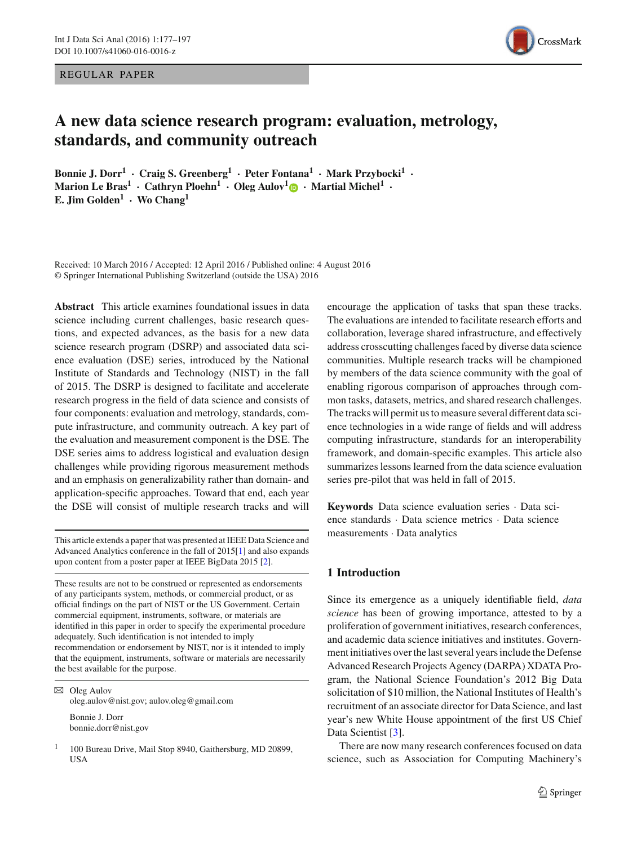REGULAR PAPER



# **A new data science research program: evaluation, metrology, standards, and community outreach**

**Bonnie J. Dorr1 · Craig S. Greenberg1 · Peter Fontana1 · Mark Przybocki<sup>1</sup> · Marion Le Bras<sup>[1](http://orcid.org/0000-0002-7894-7830)</sup> • Cathryn Ploehn<sup>1</sup> • Oleg Aulov<sup>1</sup> • Martial Michel<sup>1</sup> •**  $E$ . Jim Golden<sup>1</sup>  $\cdot$  Wo Chang<sup>1</sup>

Received: 10 March 2016 / Accepted: 12 April 2016 / Published online: 4 August 2016 © Springer International Publishing Switzerland (outside the USA) 2016

**Abstract** This article examines foundational issues in data science including current challenges, basic research questions, and expected advances, as the basis for a new data science research program (DSRP) and associated data science evaluation (DSE) series, introduced by the National Institute of Standards and Technology (NIST) in the fall of 2015. The DSRP is designed to facilitate and accelerate research progress in the field of data science and consists of four components: evaluation and metrology, standards, compute infrastructure, and community outreach. A key part of the evaluation and measurement component is the DSE. The DSE series aims to address logistical and evaluation design challenges while providing rigorous measurement methods and an emphasis on generalizability rather than domain- and application-specific approaches. Toward that end, each year the DSE will consist of multiple research tracks and will

This article extends a paper that was presented at IEEE Data Science and Advanced Analytics conference in the fall of 2015[\[1](#page-17-0)] and also expands upon content from a poster paper at IEEE BigData 2015 [\[2](#page-17-1)].

These results are not to be construed or represented as endorsements of any participants system, methods, or commercial product, or as official findings on the part of NIST or the US Government. Certain commercial equipment, instruments, software, or materials are identified in this paper in order to specify the experimental procedure adequately. Such identification is not intended to imply recommendation or endorsement by NIST, nor is it intended to imply that the equipment, instruments, software or materials are necessarily the best available for the purpose.

 $\boxtimes$  Oleg Aulov oleg.aulov@nist.gov; aulov.oleg@gmail.com

Bonnie J. Dorr bonnie.dorr@nist.gov encourage the application of tasks that span these tracks. The evaluations are intended to facilitate research efforts and collaboration, leverage shared infrastructure, and effectively address crosscutting challenges faced by diverse data science communities. Multiple research tracks will be championed by members of the data science community with the goal of enabling rigorous comparison of approaches through common tasks, datasets, metrics, and shared research challenges. The tracks will permit us to measure several different data science technologies in a wide range of fields and will address computing infrastructure, standards for an interoperability framework, and domain-specific examples. This article also summarizes lessons learned from the data science evaluation series pre-pilot that was held in fall of 2015.

**Keywords** Data science evaluation series · Data science standards · Data science metrics · Data science measurements · Data analytics

## **1 Introduction**

Since its emergence as a uniquely identifiable field, *data science* has been of growing importance, attested to by a proliferation of government initiatives, research conferences, and academic data science initiatives and institutes. Government initiatives over the last several years include the Defense Advanced Research Projects Agency (DARPA) XDATA Program, the National Science Foundation's 2012 Big Data solicitation of \$10 million, the National Institutes of Health's recruitment of an associate director for Data Science, and last year's new White House appointment of the first US Chief Data Scientist [\[3\]](#page-17-2).

There are now many research conferences focused on data science, such as Association for Computing Machinery's

 $1 \quad 100$  Bureau Drive, Mail Stop 8940, Gaithersburg, MD 20899, USA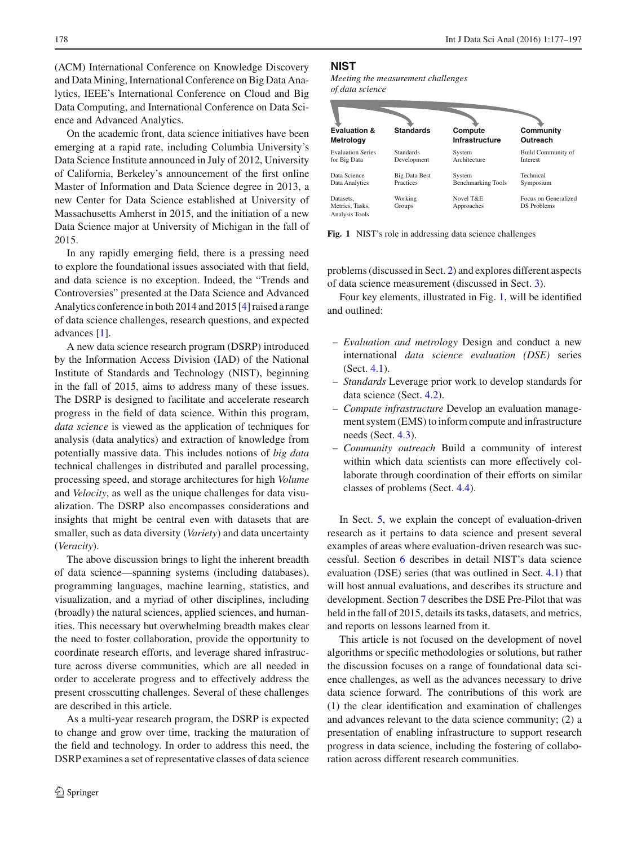(ACM) International Conference on Knowledge Discovery and Data Mining, International Conference on Big Data Analytics, IEEE's International Conference on Cloud and Big Data Computing, and International Conference on Data Science and Advanced Analytics.

On the academic front, data science initiatives have been emerging at a rapid rate, including Columbia University's Data Science Institute announced in July of 2012, University of California, Berkeley's announcement of the first online Master of Information and Data Science degree in 2013, a new Center for Data Science established at University of Massachusetts Amherst in 2015, and the initiation of a new Data Science major at University of Michigan in the fall of 2015.

In any rapidly emerging field, there is a pressing need to explore the foundational issues associated with that field, and data science is no exception. Indeed, the "Trends and Controversies" presented at the Data Science and Advanced Analytics conference in both 2014 and 2015 [\[4](#page-17-3)] raised a range of data science challenges, research questions, and expected advances [\[1](#page-17-0)].

A new data science research program (DSRP) introduced by the Information Access Division (IAD) of the National Institute of Standards and Technology (NIST), beginning in the fall of 2015, aims to address many of these issues. The DSRP is designed to facilitate and accelerate research progress in the field of data science. Within this program, *data science* is viewed as the application of techniques for analysis (data analytics) and extraction of knowledge from potentially massive data. This includes notions of *big data* technical challenges in distributed and parallel processing, processing speed, and storage architectures for high *Volume* and *Velocity*, as well as the unique challenges for data visualization. The DSRP also encompasses considerations and insights that might be central even with datasets that are smaller, such as data diversity (*Variety*) and data uncertainty (*Veracity*).

The above discussion brings to light the inherent breadth of data science—spanning systems (including databases), programming languages, machine learning, statistics, and visualization, and a myriad of other disciplines, including (broadly) the natural sciences, applied sciences, and humanities. This necessary but overwhelming breadth makes clear the need to foster collaboration, provide the opportunity to coordinate research efforts, and leverage shared infrastructure across diverse communities, which are all needed in order to accelerate progress and to effectively address the present crosscutting challenges. Several of these challenges are described in this article.

As a multi-year research program, the DSRP is expected to change and grow over time, tracking the maturation of the field and technology. In order to address this need, the DSRP examines a set of representative classes of data science

#### **NIST**

*Meeting the measurement challenges of data science*

| <b>Evaluation &amp;</b>                        | <b>Standards</b>                  | Compute                             | Community                                    |
|------------------------------------------------|-----------------------------------|-------------------------------------|----------------------------------------------|
| Metrology                                      |                                   | Infrastructure                      | Outreach                                     |
| <b>Evaluation Series</b><br>for Big Data       | <b>Standards</b><br>Development   | System<br>Architecture              | <b>Build Community of</b><br><b>Interest</b> |
| Data Science<br>Data Analytics                 | <b>Big Data Best</b><br>Practices | System<br><b>Benchmarking Tools</b> | Technical<br>Symposium                       |
| Datasets.<br>Metrics, Tasks,<br>Analysis Tools | Working<br>Groups                 | Novel T&E<br>Approaches             | Focus on Generalized<br><b>DS</b> Problems   |

<span id="page-1-0"></span>**Fig. 1** NIST's role in addressing data science challenges

problems (discussed in Sect. [2\)](#page-2-0) and explores different aspects of data science measurement (discussed in Sect. [3\)](#page-3-0).

Four key elements, illustrated in Fig. [1,](#page-1-0) will be identified and outlined:

- *Evaluation and metrology* Design and conduct a new international *data science evaluation (DSE)* series (Sect. [4.1\)](#page-4-0).
- *Standards* Leverage prior work to develop standards for data science (Sect. [4.2\)](#page-5-0).
- *Compute infrastructure* Develop an evaluation management system (EMS) to inform compute and infrastructure needs (Sect. [4.3\)](#page-5-1).
- *Community outreach* Build a community of interest within which data scientists can more effectively collaborate through coordination of their efforts on similar classes of problems (Sect. [4.4\)](#page-6-0).

In Sect. [5,](#page-7-0) we explain the concept of evaluation-driven research as it pertains to data science and present several examples of areas where evaluation-driven research was successful. Section [6](#page-10-0) describes in detail NIST's data science evaluation (DSE) series (that was outlined in Sect. [4.1\)](#page-4-0) that will host annual evaluations, and describes its structure and development. Section [7](#page-11-0) describes the DSE Pre-Pilot that was held in the fall of 2015, details its tasks, datasets, and metrics, and reports on lessons learned from it.

This article is not focused on the development of novel algorithms or specific methodologies or solutions, but rather the discussion focuses on a range of foundational data science challenges, as well as the advances necessary to drive data science forward. The contributions of this work are (1) the clear identification and examination of challenges and advances relevant to the data science community; (2) a presentation of enabling infrastructure to support research progress in data science, including the fostering of collaboration across different research communities.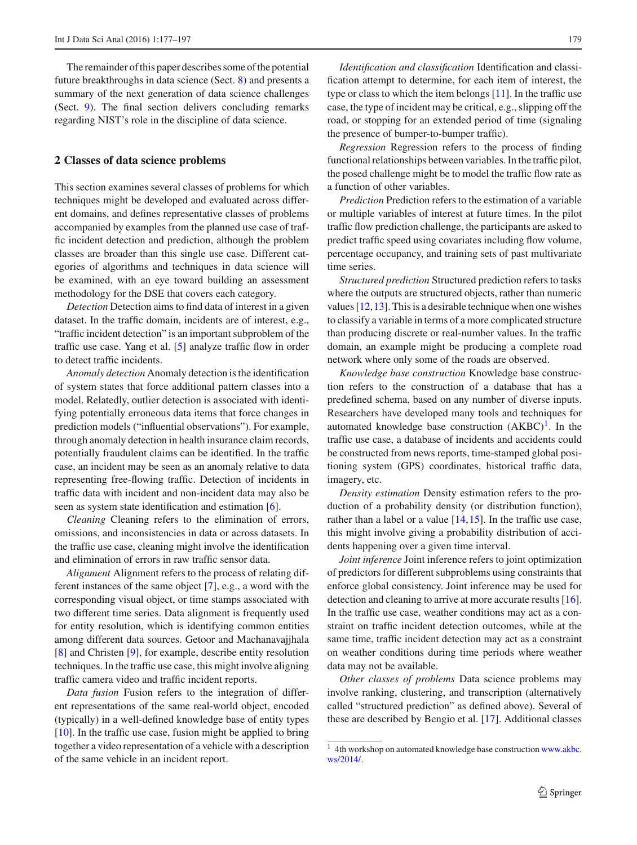The remainder of this paper describes some of the potential future breakthroughs in data science (Sect. [8\)](#page-15-0) and presents a summary of the next generation of data science challenges (Sect. [9\)](#page-16-0). The final section delivers concluding remarks regarding NIST's role in the discipline of data science.

#### <span id="page-2-0"></span>**2 Classes of data science problems**

This section examines several classes of problems for which techniques might be developed and evaluated across different domains, and defines representative classes of problems accompanied by examples from the planned use case of traffic incident detection and prediction, although the problem classes are broader than this single use case. Different categories of algorithms and techniques in data science will be examined, with an eye toward building an assessment methodology for the DSE that covers each category.

*Detection* Detection aims to find data of interest in a given dataset. In the traffic domain, incidents are of interest, e.g., "traffic incident detection" is an important subproblem of the traffic use case. Yang et al. [\[5\]](#page-17-4) analyze traffic flow in order to detect traffic incidents.

*Anomaly detection* Anomaly detection is the identification of system states that force additional pattern classes into a model. Relatedly, outlier detection is associated with identifying potentially erroneous data items that force changes in prediction models ("influential observations"). For example, through anomaly detection in health insurance claim records, potentially fraudulent claims can be identified. In the traffic case, an incident may be seen as an anomaly relative to data representing free-flowing traffic. Detection of incidents in traffic data with incident and non-incident data may also be seen as system state identification and estimation [\[6](#page-17-5)].

*Cleaning* Cleaning refers to the elimination of errors, omissions, and inconsistencies in data or across datasets. In the traffic use case, cleaning might involve the identification and elimination of errors in raw traffic sensor data.

*Alignment* Alignment refers to the process of relating different instances of the same object [\[7](#page-17-6)], e.g., a word with the corresponding visual object, or time stamps associated with two different time series. Data alignment is frequently used for entity resolution, which is identifying common entities among different data sources. Getoor and Machanavajjhala [\[8](#page-17-7)] and Christen [\[9\]](#page-17-8), for example, describe entity resolution techniques. In the traffic use case, this might involve aligning traffic camera video and traffic incident reports.

*Data fusion* Fusion refers to the integration of different representations of the same real-world object, encoded (typically) in a well-defined knowledge base of entity types [\[10](#page-17-9)]. In the traffic use case, fusion might be applied to bring together a video representation of a vehicle with a description of the same vehicle in an incident report.

*Identification and classification* Identification and classification attempt to determine, for each item of interest, the type or class to which the item belongs [\[11](#page-17-10)]. In the traffic use case, the type of incident may be critical, e.g., slipping off the road, or stopping for an extended period of time (signaling the presence of bumper-to-bumper traffic).

*Regression* Regression refers to the process of finding functional relationships between variables. In the traffic pilot, the posed challenge might be to model the traffic flow rate as a function of other variables.

*Prediction* Prediction refers to the estimation of a variable or multiple variables of interest at future times. In the pilot traffic flow prediction challenge, the participants are asked to predict traffic speed using covariates including flow volume, percentage occupancy, and training sets of past multivariate time series.

*Structured prediction* Structured prediction refers to tasks where the outputs are structured objects, rather than numeric values [\[12](#page-17-11)[,13](#page-17-12)]. This is a desirable technique when one wishes to classify a variable in terms of a more complicated structure than producing discrete or real-number values. In the traffic domain, an example might be producing a complete road network where only some of the roads are observed.

*Knowledge base construction* Knowledge base construction refers to the construction of a database that has a predefined schema, based on any number of diverse inputs. Researchers have developed many tools and techniques for automated knowledge base construction  $(AKBC)^{1}$  $(AKBC)^{1}$  $(AKBC)^{1}$ . In the traffic use case, a database of incidents and accidents could be constructed from news reports, time-stamped global positioning system (GPS) coordinates, historical traffic data, imagery, etc.

*Density estimation* Density estimation refers to the production of a probability density (or distribution function), rather than a label or a value [\[14,](#page-18-0)[15\]](#page-18-1). In the traffic use case, this might involve giving a probability distribution of accidents happening over a given time interval.

*Joint inference* Joint inference refers to joint optimization of predictors for different subproblems using constraints that enforce global consistency. Joint inference may be used for detection and cleaning to arrive at more accurate results [\[16](#page-18-2)]. In the traffic use case, weather conditions may act as a constraint on traffic incident detection outcomes, while at the same time, traffic incident detection may act as a constraint on weather conditions during time periods where weather data may not be available.

*Other classes of problems* Data science problems may involve ranking, clustering, and transcription (alternatively called "structured prediction" as defined above). Several of these are described by Bengio et al. [\[17](#page-18-3)]. Additional classes

<span id="page-2-1"></span><sup>1</sup> 4th workshop on automated knowledge base construction [www.akbc.](www.akbc.ws/2014/) [ws/2014/.](www.akbc.ws/2014/)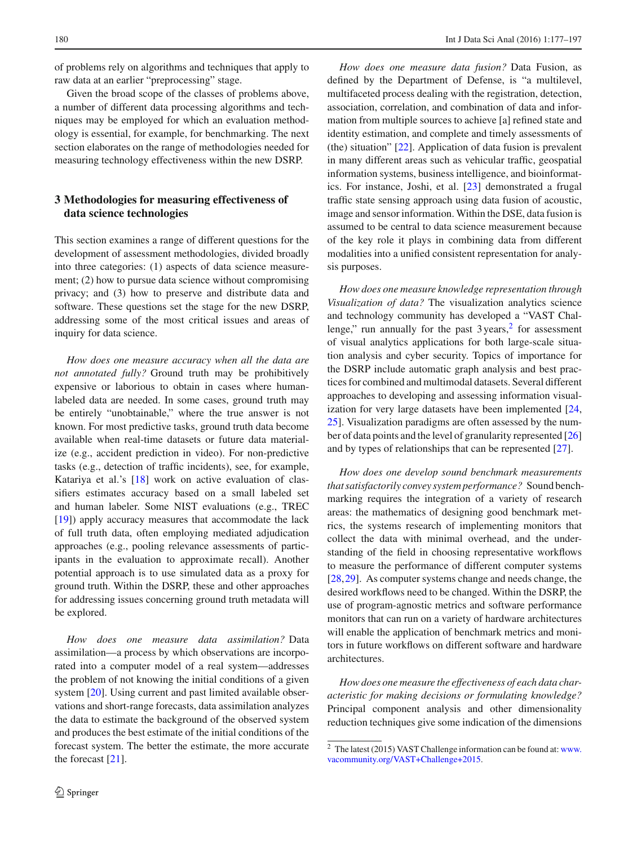of problems rely on algorithms and techniques that apply to raw data at an earlier "preprocessing" stage.

Given the broad scope of the classes of problems above, a number of different data processing algorithms and techniques may be employed for which an evaluation methodology is essential, for example, for benchmarking. The next section elaborates on the range of methodologies needed for measuring technology effectiveness within the new DSRP.

# <span id="page-3-0"></span>**3 Methodologies for measuring effectiveness of data science technologies**

This section examines a range of different questions for the development of assessment methodologies, divided broadly into three categories: (1) aspects of data science measurement; (2) how to pursue data science without compromising privacy; and (3) how to preserve and distribute data and software. These questions set the stage for the new DSRP, addressing some of the most critical issues and areas of inquiry for data science.

*How does one measure accuracy when all the data are not annotated fully?* Ground truth may be prohibitively expensive or laborious to obtain in cases where humanlabeled data are needed. In some cases, ground truth may be entirely "unobtainable," where the true answer is not known. For most predictive tasks, ground truth data become available when real-time datasets or future data materialize (e.g., accident prediction in video). For non-predictive tasks (e.g., detection of traffic incidents), see, for example, Katariya et al.'s [\[18](#page-18-4)] work on active evaluation of classifiers estimates accuracy based on a small labeled set and human labeler. Some NIST evaluations (e.g., TREC [\[19](#page-18-5)]) apply accuracy measures that accommodate the lack of full truth data, often employing mediated adjudication approaches (e.g., pooling relevance assessments of participants in the evaluation to approximate recall). Another potential approach is to use simulated data as a proxy for ground truth. Within the DSRP, these and other approaches for addressing issues concerning ground truth metadata will be explored.

*How does one measure data assimilation?* Data assimilation—a process by which observations are incorporated into a computer model of a real system—addresses the problem of not knowing the initial conditions of a given system [\[20\]](#page-18-6). Using current and past limited available observations and short-range forecasts, data assimilation analyzes the data to estimate the background of the observed system and produces the best estimate of the initial conditions of the forecast system. The better the estimate, the more accurate the forecast [\[21](#page-18-7)].

*How does one measure data fusion?* Data Fusion, as defined by the Department of Defense, is "a multilevel, multifaceted process dealing with the registration, detection, association, correlation, and combination of data and information from multiple sources to achieve [a] refined state and identity estimation, and complete and timely assessments of (the) situation" [\[22](#page-18-8)]. Application of data fusion is prevalent in many different areas such as vehicular traffic, geospatial information systems, business intelligence, and bioinformatics. For instance, Joshi, et al. [\[23\]](#page-18-9) demonstrated a frugal traffic state sensing approach using data fusion of acoustic, image and sensor information. Within the DSE, data fusion is assumed to be central to data science measurement because of the key role it plays in combining data from different modalities into a unified consistent representation for analysis purposes.

*How does one measure knowledge representation through Visualization of data?* The visualization analytics science and technology community has developed a "VAST Challenge," run annually for the past  $3 \text{ years}$ , $\frac{2}{3}$  for assessment of visual analytics applications for both large-scale situation analysis and cyber security. Topics of importance for the DSRP include automatic graph analysis and best practices for combined and multimodal datasets. Several different approaches to developing and assessing information visualization for very large datasets have been implemented [\[24,](#page-18-10) [25](#page-18-11)]. Visualization paradigms are often assessed by the number of data points and the level of granularity represented [\[26\]](#page-18-12) and by types of relationships that can be represented [\[27\]](#page-18-13).

*How does one develop sound benchmark measurements that satisfactorily convey system performance?* Sound benchmarking requires the integration of a variety of research areas: the mathematics of designing good benchmark metrics, the systems research of implementing monitors that collect the data with minimal overhead, and the understanding of the field in choosing representative workflows to measure the performance of different computer systems [\[28](#page-18-14),[29\]](#page-18-15). As computer systems change and needs change, the desired workflows need to be changed. Within the DSRP, the use of program-agnostic metrics and software performance monitors that can run on a variety of hardware architectures will enable the application of benchmark metrics and monitors in future workflows on different software and hardware architectures.

*How does one measure the effectiveness of each data characteristic for making decisions or formulating knowledge?* Principal component analysis and other dimensionality reduction techniques give some indication of the dimensions

<span id="page-3-1"></span><sup>&</sup>lt;sup>2</sup> The latest (2015) VAST Challenge information can be found at: [www.](www.vacommunity.org/VAST+Challenge+2015) [vacommunity.org/VAST+Challenge+2015.](www.vacommunity.org/VAST+Challenge+2015)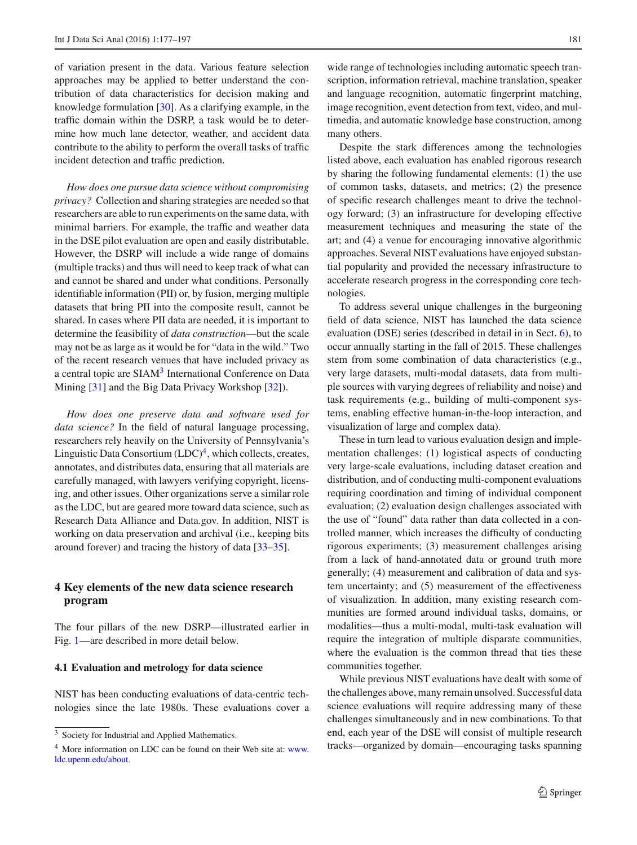of variation present in the data. Various feature selection approaches may be applied to better understand the contribution of data characteristics for decision making and knowledge formulation [\[30](#page-18-16)]. As a clarifying example, in the traffic domain within the DSRP, a task would be to determine how much lane detector, weather, and accident data contribute to the ability to perform the overall tasks of traffic incident detection and traffic prediction.

*How does one pursue data science without compromising privacy?* Collection and sharing strategies are needed so that researchers are able to run experiments on the same data, with minimal barriers. For example, the traffic and weather data in the DSE pilot evaluation are open and easily distributable. However, the DSRP will include a wide range of domains (multiple tracks) and thus will need to keep track of what can and cannot be shared and under what conditions. Personally identifiable information (PII) or, by fusion, merging multiple datasets that bring PII into the composite result, cannot be shared. In cases where PII data are needed, it is important to determine the feasibility of *data construction*—but the scale may not be as large as it would be for "data in the wild." Two of the recent research venues that have included privacy as a central topic are SIAM<sup>3</sup> International Conference on Data Mining [\[31](#page-18-17)] and the Big Data Privacy Workshop [\[32](#page-18-18)]).

*How does one preserve data and software used for data science?* In the field of natural language processing, researchers rely heavily on the University of Pennsylvania's Linguistic Data Consortium  $(LDC)<sup>4</sup>$ , which collects, creates, annotates, and distributes data, ensuring that all materials are carefully managed, with lawyers verifying copyright, licensing, and other issues. Other organizations serve a similar role as the LDC, but are geared more toward data science, such as Research Data Alliance and Data.gov. In addition, NIST is working on data preservation and archival (i.e., keeping bits around forever) and tracing the history of data [\[33](#page-18-19)[–35](#page-18-20)].

## **4 Key elements of the new data science research program**

The four pillars of the new DSRP—illustrated earlier in Fig. [1—](#page-1-0)are described in more detail below.

#### <span id="page-4-0"></span>**4.1 Evaluation and metrology for data science**

NIST has been conducting evaluations of data-centric technologies since the late 1980s. These evaluations cover a

wide range of technologies including automatic speech transcription, information retrieval, machine translation, speaker and language recognition, automatic fingerprint matching, image recognition, event detection from text, video, and multimedia, and automatic knowledge base construction, among many others.

Despite the stark differences among the technologies listed above, each evaluation has enabled rigorous research by sharing the following fundamental elements: (1) the use of common tasks, datasets, and metrics; (2) the presence of specific research challenges meant to drive the technology forward; (3) an infrastructure for developing effective measurement techniques and measuring the state of the art; and (4) a venue for encouraging innovative algorithmic approaches. Several NIST evaluations have enjoyed substantial popularity and provided the necessary infrastructure to accelerate research progress in the corresponding core technologies.

To address several unique challenges in the burgeoning field of data science, NIST has launched the data science evaluation (DSE) series (described in detail in in Sect. [6\)](#page-10-0), to occur annually starting in the fall of 2015. These challenges stem from some combination of data characteristics (e.g., very large datasets, multi-modal datasets, data from multiple sources with varying degrees of reliability and noise) and task requirements (e.g., building of multi-component systems, enabling effective human-in-the-loop interaction, and visualization of large and complex data).

These in turn lead to various evaluation design and implementation challenges: (1) logistical aspects of conducting very large-scale evaluations, including dataset creation and distribution, and of conducting multi-component evaluations requiring coordination and timing of individual component evaluation; (2) evaluation design challenges associated with the use of "found" data rather than data collected in a controlled manner, which increases the difficulty of conducting rigorous experiments; (3) measurement challenges arising from a lack of hand-annotated data or ground truth more generally; (4) measurement and calibration of data and system uncertainty; and (5) measurement of the effectiveness of visualization. In addition, many existing research communities are formed around individual tasks, domains, or modalities—thus a multi-modal, multi-task evaluation will require the integration of multiple disparate communities, where the evaluation is the common thread that ties these communities together.

While previous NIST evaluations have dealt with some of the challenges above, many remain unsolved. Successful data science evaluations will require addressing many of these challenges simultaneously and in new combinations. To that end, each year of the DSE will consist of multiple research tracks—organized by domain—encouraging tasks spanning

<sup>&</sup>lt;sup>3</sup> Society for Industrial and Applied Mathematics.

<span id="page-4-2"></span><span id="page-4-1"></span><sup>4</sup> More information on LDC can be found on their Web site at: [www.](www.ldc.upenn.edu/about) [ldc.upenn.edu/about.](www.ldc.upenn.edu/about)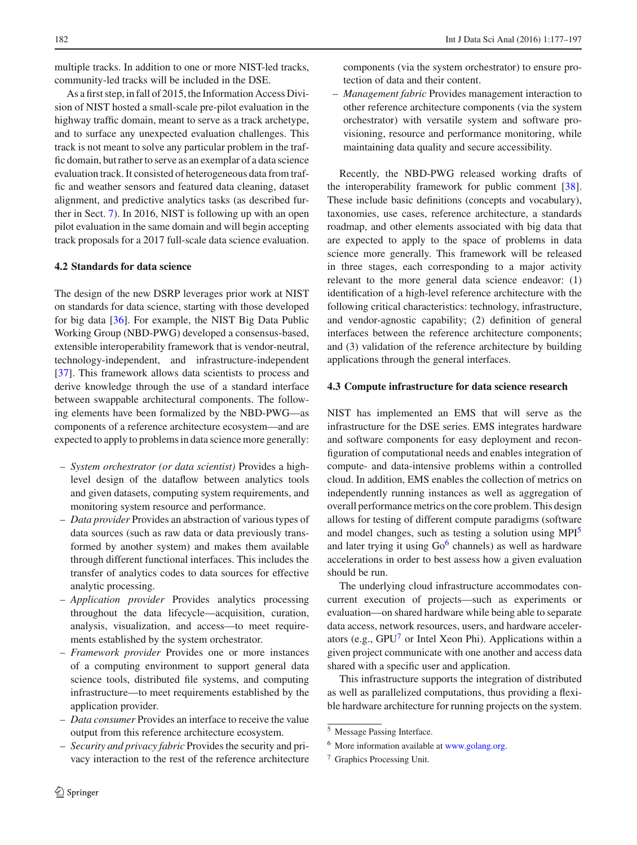multiple tracks. In addition to one or more NIST-led tracks, community-led tracks will be included in the DSE.

As a first step, in fall of 2015, the Information Access Division of NIST hosted a small-scale pre-pilot evaluation in the highway traffic domain, meant to serve as a track archetype, and to surface any unexpected evaluation challenges. This track is not meant to solve any particular problem in the traffic domain, but rather to serve as an exemplar of a data science evaluation track. It consisted of heterogeneous data from traffic and weather sensors and featured data cleaning, dataset alignment, and predictive analytics tasks (as described further in Sect. [7\)](#page-11-0). In 2016, NIST is following up with an open pilot evaluation in the same domain and will begin accepting track proposals for a 2017 full-scale data science evaluation.

## <span id="page-5-0"></span>**4.2 Standards for data science**

The design of the new DSRP leverages prior work at NIST on standards for data science, starting with those developed for big data [\[36\]](#page-18-21). For example, the NIST Big Data Public Working Group (NBD-PWG) developed a consensus-based, extensible interoperability framework that is vendor-neutral, technology-independent, and infrastructure-independent [\[37](#page-18-22)]. This framework allows data scientists to process and derive knowledge through the use of a standard interface between swappable architectural components. The following elements have been formalized by the NBD-PWG—as components of a reference architecture ecosystem—and are expected to apply to problems in data science more generally:

- *System orchestrator (or data scientist)* Provides a highlevel design of the dataflow between analytics tools and given datasets, computing system requirements, and monitoring system resource and performance.
- *Data provider* Provides an abstraction of various types of data sources (such as raw data or data previously transformed by another system) and makes them available through different functional interfaces. This includes the transfer of analytics codes to data sources for effective analytic processing.
- *Application provider* Provides analytics processing throughout the data lifecycle—acquisition, curation, analysis, visualization, and access—to meet requirements established by the system orchestrator.
- *Framework provider* Provides one or more instances of a computing environment to support general data science tools, distributed file systems, and computing infrastructure—to meet requirements established by the application provider.
- *Data consumer* Provides an interface to receive the value output from this reference architecture ecosystem.
- *Security and privacy fabric* Provides the security and privacy interaction to the rest of the reference architecture

– *Management fabric* Provides management interaction to other reference architecture components (via the system orchestrator) with versatile system and software provisioning, resource and performance monitoring, while maintaining data quality and secure accessibility.

Recently, the NBD-PWG released working drafts of the interoperability framework for public comment [\[38](#page-18-23)]. These include basic definitions (concepts and vocabulary), taxonomies, use cases, reference architecture, a standards roadmap, and other elements associated with big data that are expected to apply to the space of problems in data science more generally. This framework will be released in three stages, each corresponding to a major activity relevant to the more general data science endeavor: (1) identification of a high-level reference architecture with the following critical characteristics: technology, infrastructure, and vendor-agnostic capability; (2) definition of general interfaces between the reference architecture components; and (3) validation of the reference architecture by building applications through the general interfaces.

#### <span id="page-5-1"></span>**4.3 Compute infrastructure for data science research**

NIST has implemented an EMS that will serve as the infrastructure for the DSE series. EMS integrates hardware and software components for easy deployment and reconfiguration of computational needs and enables integration of compute- and data-intensive problems within a controlled cloud. In addition, EMS enables the collection of metrics on independently running instances as well as aggregation of overall performance metrics on the core problem. This design allows for testing of different compute paradigms (software and model changes, such as testing a solution using MPI<sup>[5](#page-5-2)</sup> and later trying it using  $Go<sup>6</sup>$  channels) as well as hardware accelerations in order to best assess how a given evaluation should be run.

The underlying cloud infrastructure accommodates concurrent execution of projects—such as experiments or evaluation—on shared hardware while being able to separate data access, network resources, users, and hardware accelerators (e.g.,  $GPU<sup>7</sup>$  or Intel Xeon Phi). Applications within a given project communicate with one another and access data shared with a specific user and application.

This infrastructure supports the integration of distributed as well as parallelized computations, thus providing a flexible hardware architecture for running projects on the system.

<sup>5</sup> Message Passing Interface.

<span id="page-5-2"></span><sup>6</sup> More information available at [www.golang.org.](www.golang.org)

<span id="page-5-4"></span><span id="page-5-3"></span><sup>7</sup> Graphics Processing Unit.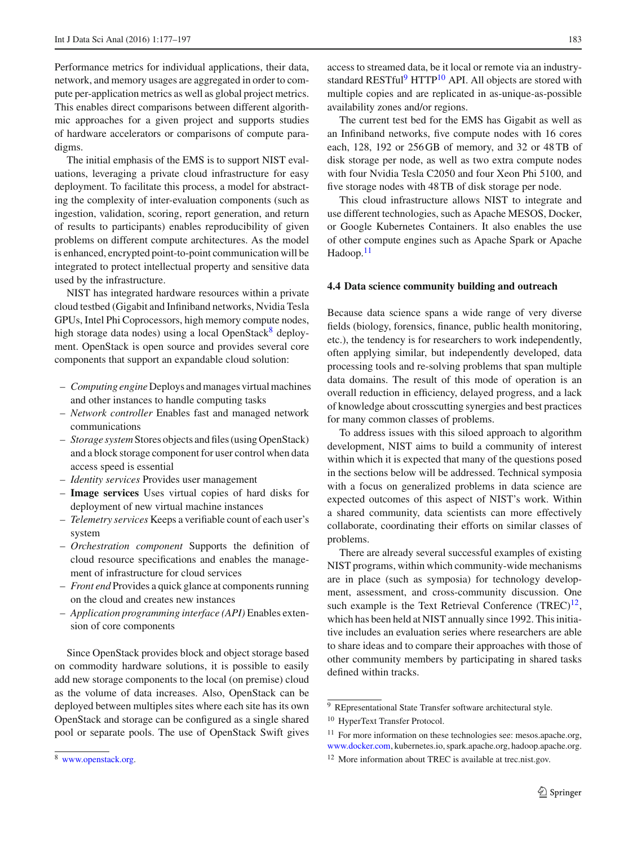Performance metrics for individual applications, their data, network, and memory usages are aggregated in order to compute per-application metrics as well as global project metrics. This enables direct comparisons between different algorithmic approaches for a given project and supports studies of hardware accelerators or comparisons of compute paradigms.

The initial emphasis of the EMS is to support NIST evaluations, leveraging a private cloud infrastructure for easy deployment. To facilitate this process, a model for abstracting the complexity of inter-evaluation components (such as ingestion, validation, scoring, report generation, and return of results to participants) enables reproducibility of given problems on different compute architectures. As the model is enhanced, encrypted point-to-point communication will be integrated to protect intellectual property and sensitive data used by the infrastructure.

NIST has integrated hardware resources within a private cloud testbed (Gigabit and Infiniband networks, Nvidia Tesla GPUs, Intel Phi Coprocessors, high memory compute nodes, high storage data nodes) using a local OpenStack<sup>8</sup> deployment. OpenStack is open source and provides several core components that support an expandable cloud solution:

- *Computing engine*Deploys and manages virtual machines and other instances to handle computing tasks
- *Network controller* Enables fast and managed network communications
- *Storage system*Stores objects and files (using OpenStack) and a block storage component for user control when data access speed is essential
- *Identity services* Provides user management
- **Image services** Uses virtual copies of hard disks for deployment of new virtual machine instances
- *Telemetry services* Keeps a verifiable count of each user's system
- *Orchestration component* Supports the definition of cloud resource specifications and enables the management of infrastructure for cloud services
- *Front end* Provides a quick glance at components running on the cloud and creates new instances
- *Application programming interface (API)* Enables extension of core components

Since OpenStack provides block and object storage based on commodity hardware solutions, it is possible to easily add new storage components to the local (on premise) cloud as the volume of data increases. Also, OpenStack can be deployed between multiples sites where each site has its own OpenStack and storage can be configured as a single shared pool or separate pools. The use of OpenStack Swift gives

access to streamed data, be it local or remote via an industry-standard RESTful<sup>[9](#page-6-2)</sup> HTTP<sup>10</sup> API. All objects are stored with multiple copies and are replicated in as-unique-as-possible availability zones and/or regions.

The current test bed for the EMS has Gigabit as well as an Infiniband networks, five compute nodes with 16 cores each, 128, 192 or 256 GB of memory, and 32 or 48 TB of disk storage per node, as well as two extra compute nodes with four Nvidia Tesla C2050 and four Xeon Phi 5100, and five storage nodes with 48 TB of disk storage per node.

This cloud infrastructure allows NIST to integrate and use different technologies, such as Apache MESOS, Docker, or Google Kubernetes Containers. It also enables the use of other compute engines such as Apache Spark or Apache Hadoop.<sup>11</sup>

#### <span id="page-6-0"></span>**4.4 Data science community building and outreach**

Because data science spans a wide range of very diverse fields (biology, forensics, finance, public health monitoring, etc.), the tendency is for researchers to work independently, often applying similar, but independently developed, data processing tools and re-solving problems that span multiple data domains. The result of this mode of operation is an overall reduction in efficiency, delayed progress, and a lack of knowledge about crosscutting synergies and best practices for many common classes of problems.

To address issues with this siloed approach to algorithm development, NIST aims to build a community of interest within which it is expected that many of the questions posed in the sections below will be addressed. Technical symposia with a focus on generalized problems in data science are expected outcomes of this aspect of NIST's work. Within a shared community, data scientists can more effectively collaborate, coordinating their efforts on similar classes of problems.

There are already several successful examples of existing NIST programs, within which community-wide mechanisms are in place (such as symposia) for technology development, assessment, and cross-community discussion. One such example is the Text Retrieval Conference  $(TREC)^{12}$ , which has been held at NIST annually since 1992. This initiative includes an evaluation series where researchers are able to share ideas and to compare their approaches with those of other community members by participating in shared tasks defined within tracks.

<span id="page-6-1"></span><sup>8</sup> [www.openstack.org.](www.openstack.org)

<sup>9</sup> REpresentational State Transfer software architectural style.

<span id="page-6-2"></span><sup>10</sup> HyperText Transfer Protocol.

<span id="page-6-3"></span><sup>&</sup>lt;sup>11</sup> For more information on these technologies see: mesos.apache.org, [www.docker.com,](www.docker.com) kubernetes.io, spark.apache.org, hadoop.apache.org.

<span id="page-6-5"></span><span id="page-6-4"></span><sup>&</sup>lt;sup>12</sup> More information about TREC is available at trec.nist.gov.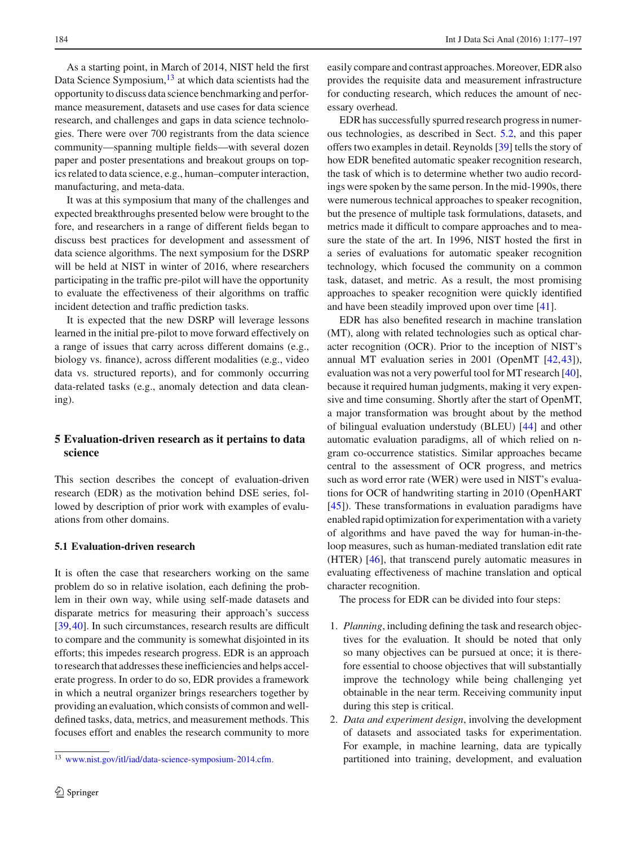As a starting point, in March of 2014, NIST held the first Data Science Symposium, $13$  at which data scientists had the opportunity to discuss data science benchmarking and performance measurement, datasets and use cases for data science research, and challenges and gaps in data science technologies. There were over 700 registrants from the data science community—spanning multiple fields—with several dozen paper and poster presentations and breakout groups on topics related to data science, e.g., human–computer interaction, manufacturing, and meta-data.

It was at this symposium that many of the challenges and expected breakthroughs presented below were brought to the fore, and researchers in a range of different fields began to discuss best practices for development and assessment of data science algorithms. The next symposium for the DSRP will be held at NIST in winter of 2016, where researchers participating in the traffic pre-pilot will have the opportunity to evaluate the effectiveness of their algorithms on traffic incident detection and traffic prediction tasks.

It is expected that the new DSRP will leverage lessons learned in the initial pre-pilot to move forward effectively on a range of issues that carry across different domains (e.g., biology vs. finance), across different modalities (e.g., video data vs. structured reports), and for commonly occurring data-related tasks (e.g., anomaly detection and data cleaning).

## <span id="page-7-0"></span>**5 Evaluation-driven research as it pertains to data science**

This section describes the concept of evaluation-driven research (EDR) as the motivation behind DSE series, followed by description of prior work with examples of evaluations from other domains.

## <span id="page-7-2"></span>**5.1 Evaluation-driven research**

It is often the case that researchers working on the same problem do so in relative isolation, each defining the problem in their own way, while using self-made datasets and disparate metrics for measuring their approach's success [\[39](#page-18-24),[40\]](#page-18-25). In such circumstances, research results are difficult to compare and the community is somewhat disjointed in its efforts; this impedes research progress. EDR is an approach to research that addresses these inefficiencies and helps accelerate progress. In order to do so, EDR provides a framework in which a neutral organizer brings researchers together by providing an evaluation, which consists of common and welldefined tasks, data, metrics, and measurement methods. This focuses effort and enables the research community to more easily compare and contrast approaches. Moreover, EDR also provides the requisite data and measurement infrastructure for conducting research, which reduces the amount of necessary overhead.

EDR has successfully spurred research progress in numerous technologies, as described in Sect. [5.2,](#page-8-0) and this paper offers two examples in detail. Reynolds [\[39](#page-18-24)] tells the story of how EDR benefited automatic speaker recognition research, the task of which is to determine whether two audio recordings were spoken by the same person. In the mid-1990s, there were numerous technical approaches to speaker recognition, but the presence of multiple task formulations, datasets, and metrics made it difficult to compare approaches and to measure the state of the art. In 1996, NIST hosted the first in a series of evaluations for automatic speaker recognition technology, which focused the community on a common task, dataset, and metric. As a result, the most promising approaches to speaker recognition were quickly identified and have been steadily improved upon over time [\[41\]](#page-18-26).

EDR has also benefited research in machine translation (MT), along with related technologies such as optical character recognition (OCR). Prior to the inception of NIST's annual MT evaluation series in 2001 (OpenMT [\[42](#page-18-27)[,43](#page-18-28)]), evaluation was not a very powerful tool for MT research [\[40](#page-18-25)], because it required human judgments, making it very expensive and time consuming. Shortly after the start of OpenMT, a major transformation was brought about by the method of bilingual evaluation understudy (BLEU) [\[44\]](#page-18-29) and other automatic evaluation paradigms, all of which relied on ngram co-occurrence statistics. Similar approaches became central to the assessment of OCR progress, and metrics such as word error rate (WER) were used in NIST's evaluations for OCR of handwriting starting in 2010 (OpenHART [\[45](#page-18-30)]). These transformations in evaluation paradigms have enabled rapid optimization for experimentation with a variety of algorithms and have paved the way for human-in-theloop measures, such as human-mediated translation edit rate (HTER) [\[46](#page-18-31)], that transcend purely automatic measures in evaluating effectiveness of machine translation and optical character recognition.

The process for EDR can be divided into four steps:

- 1. *Planning*, including defining the task and research objectives for the evaluation. It should be noted that only so many objectives can be pursued at once; it is therefore essential to choose objectives that will substantially improve the technology while being challenging yet obtainable in the near term. Receiving community input during this step is critical.
- 2. *Data and experiment design*, involving the development of datasets and associated tasks for experimentation. For example, in machine learning, data are typically partitioned into training, development, and evaluation

<span id="page-7-1"></span><sup>13</sup> [www.nist.gov/itl/iad/data-science-symposium-2014.cfm.](www.nist.gov/itl/iad/data-science-symposium-2014.cfm)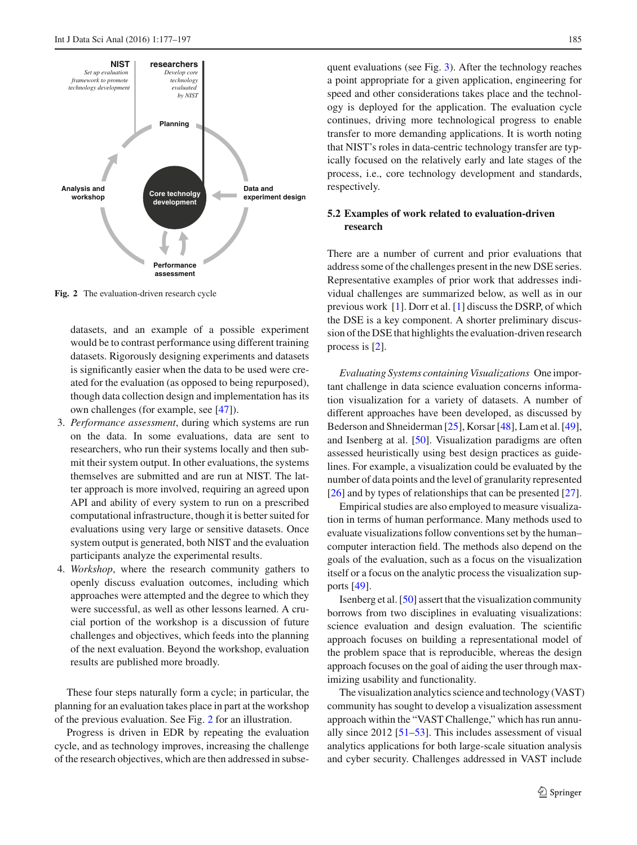

<span id="page-8-1"></span>**Fig. 2** The evaluation-driven research cycle

datasets, and an example of a possible experiment would be to contrast performance using different training datasets. Rigorously designing experiments and datasets is significantly easier when the data to be used were created for the evaluation (as opposed to being repurposed), though data collection design and implementation has its own challenges (for example, see [\[47](#page-18-32)]).

- 3. *Performance assessment*, during which systems are run on the data. In some evaluations, data are sent to researchers, who run their systems locally and then submit their system output. In other evaluations, the systems themselves are submitted and are run at NIST. The latter approach is more involved, requiring an agreed upon API and ability of every system to run on a prescribed computational infrastructure, though it is better suited for evaluations using very large or sensitive datasets. Once system output is generated, both NIST and the evaluation participants analyze the experimental results.
- 4. *Workshop*, where the research community gathers to openly discuss evaluation outcomes, including which approaches were attempted and the degree to which they were successful, as well as other lessons learned. A crucial portion of the workshop is a discussion of future challenges and objectives, which feeds into the planning of the next evaluation. Beyond the workshop, evaluation results are published more broadly.

These four steps naturally form a cycle; in particular, the planning for an evaluation takes place in part at the workshop of the previous evaluation. See Fig. [2](#page-8-1) for an illustration.

Progress is driven in EDR by repeating the evaluation cycle, and as technology improves, increasing the challenge of the research objectives, which are then addressed in subsequent evaluations (see Fig. [3\)](#page-9-0). After the technology reaches a point appropriate for a given application, engineering for speed and other considerations takes place and the technology is deployed for the application. The evaluation cycle continues, driving more technological progress to enable transfer to more demanding applications. It is worth noting that NIST's roles in data-centric technology transfer are typically focused on the relatively early and late stages of the process, i.e., core technology development and standards, respectively.

# <span id="page-8-0"></span>**5.2 Examples of work related to evaluation-driven research**

There are a number of current and prior evaluations that address some of the challenges present in the new DSE series. Representative examples of prior work that addresses individual challenges are summarized below, as well as in our previous work [\[1](#page-17-0)]. Dorr et al. [\[1\]](#page-17-0) discuss the DSRP, of which the DSE is a key component. A shorter preliminary discussion of the DSE that highlights the evaluation-driven research process is [\[2\]](#page-17-1).

*Evaluating Systems containing Visualizations* One important challenge in data science evaluation concerns information visualization for a variety of datasets. A number of different approaches have been developed, as discussed by Bederson and Shneiderman [\[25\]](#page-18-11), Korsar [\[48](#page-18-33)], Lam et al. [\[49](#page-18-34)], and Isenberg at al. [\[50](#page-18-35)]. Visualization paradigms are often assessed heuristically using best design practices as guidelines. For example, a visualization could be evaluated by the number of data points and the level of granularity represented [\[26](#page-18-12)] and by types of relationships that can be presented [\[27](#page-18-13)].

Empirical studies are also employed to measure visualization in terms of human performance. Many methods used to evaluate visualizations follow conventions set by the human– computer interaction field. The methods also depend on the goals of the evaluation, such as a focus on the visualization itself or a focus on the analytic process the visualization supports [\[49\]](#page-18-34).

Isenberg et al. [\[50\]](#page-18-35) assert that the visualization community borrows from two disciplines in evaluating visualizations: science evaluation and design evaluation. The scientific approach focuses on building a representational model of the problem space that is reproducible, whereas the design approach focuses on the goal of aiding the user through maximizing usability and functionality.

The visualization analytics science and technology (VAST) community has sought to develop a visualization assessment approach within the "VAST Challenge," which has run annually since 2012 [\[51](#page-18-36)[–53\]](#page-18-37). This includes assessment of visual analytics applications for both large-scale situation analysis and cyber security. Challenges addressed in VAST include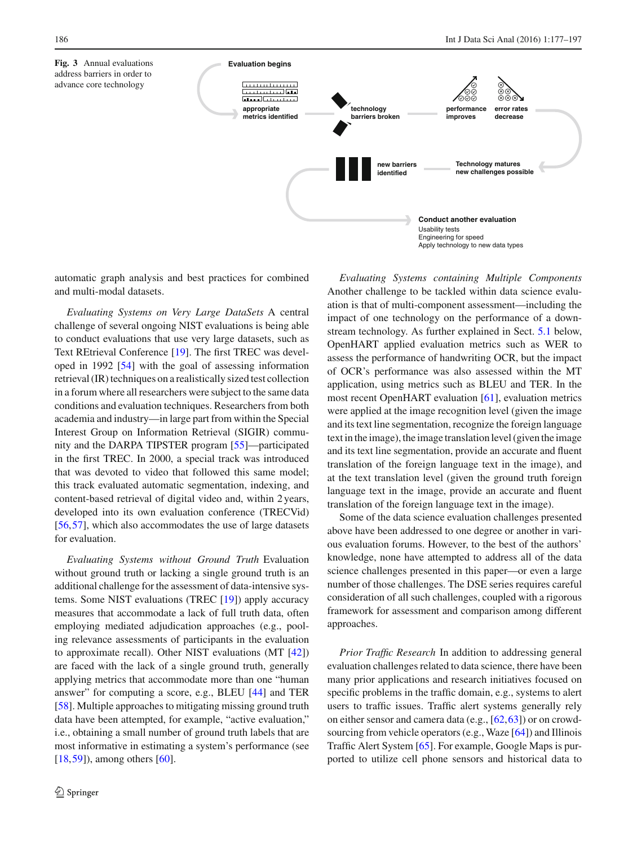<span id="page-9-0"></span>



automatic graph analysis and best practices for combined and multi-modal datasets.

*Evaluating Systems on Very Large DataSets* A central challenge of several ongoing NIST evaluations is being able to conduct evaluations that use very large datasets, such as Text REtrieval Conference [\[19](#page-18-5)]. The first TREC was developed in 1992 [\[54](#page-18-38)] with the goal of assessing information retrieval (IR) techniques on a realistically sized test collection in a forum where all researchers were subject to the same data conditions and evaluation techniques. Researchers from both academia and industry—in large part from within the Special Interest Group on Information Retrieval (SIGIR) community and the DARPA TIPSTER program [\[55\]](#page-18-39)—participated in the first TREC. In 2000, a special track was introduced that was devoted to video that followed this same model; this track evaluated automatic segmentation, indexing, and content-based retrieval of digital video and, within 2 years, developed into its own evaluation conference (TRECVid) [\[56](#page-18-40),[57\]](#page-18-41), which also accommodates the use of large datasets for evaluation.

*Evaluating Systems without Ground Truth* Evaluation without ground truth or lacking a single ground truth is an additional challenge for the assessment of data-intensive systems. Some NIST evaluations (TREC [\[19](#page-18-5)]) apply accuracy measures that accommodate a lack of full truth data, often employing mediated adjudication approaches (e.g., pooling relevance assessments of participants in the evaluation to approximate recall). Other NIST evaluations (MT [\[42\]](#page-18-27)) are faced with the lack of a single ground truth, generally applying metrics that accommodate more than one "human answer" for computing a score, e.g., BLEU [\[44\]](#page-18-29) and TER [\[58](#page-18-42)]. Multiple approaches to mitigating missing ground truth data have been attempted, for example, "active evaluation," i.e., obtaining a small number of ground truth labels that are most informative in estimating a system's performance (see [\[18](#page-18-4),[59\]](#page-18-43)), among others [\[60\]](#page-18-44).

*Evaluating Systems containing Multiple Components* Another challenge to be tackled within data science evaluation is that of multi-component assessment—including the impact of one technology on the performance of a downstream technology. As further explained in Sect. [5.1](#page-7-2) below, OpenHART applied evaluation metrics such as WER to assess the performance of handwriting OCR, but the impact of OCR's performance was also assessed within the MT application, using metrics such as BLEU and TER. In the most recent OpenHART evaluation [\[61\]](#page-19-0), evaluation metrics were applied at the image recognition level (given the image and its text line segmentation, recognize the foreign language text in the image), the image translation level (given the image and its text line segmentation, provide an accurate and fluent translation of the foreign language text in the image), and at the text translation level (given the ground truth foreign language text in the image, provide an accurate and fluent translation of the foreign language text in the image).

Some of the data science evaluation challenges presented above have been addressed to one degree or another in various evaluation forums. However, to the best of the authors' knowledge, none have attempted to address all of the data science challenges presented in this paper—or even a large number of those challenges. The DSE series requires careful consideration of all such challenges, coupled with a rigorous framework for assessment and comparison among different approaches.

*Prior Traffic Research* In addition to addressing general evaluation challenges related to data science, there have been many prior applications and research initiatives focused on specific problems in the traffic domain, e.g., systems to alert users to traffic issues. Traffic alert systems generally rely on either sensor and camera data (e.g., [\[62](#page-19-1)[,63](#page-19-2)]) or on crowdsourcing from vehicle operators (e.g., Waze [\[64](#page-19-3)]) and Illinois Traffic Alert System [\[65\]](#page-19-4). For example, Google Maps is purported to utilize cell phone sensors and historical data to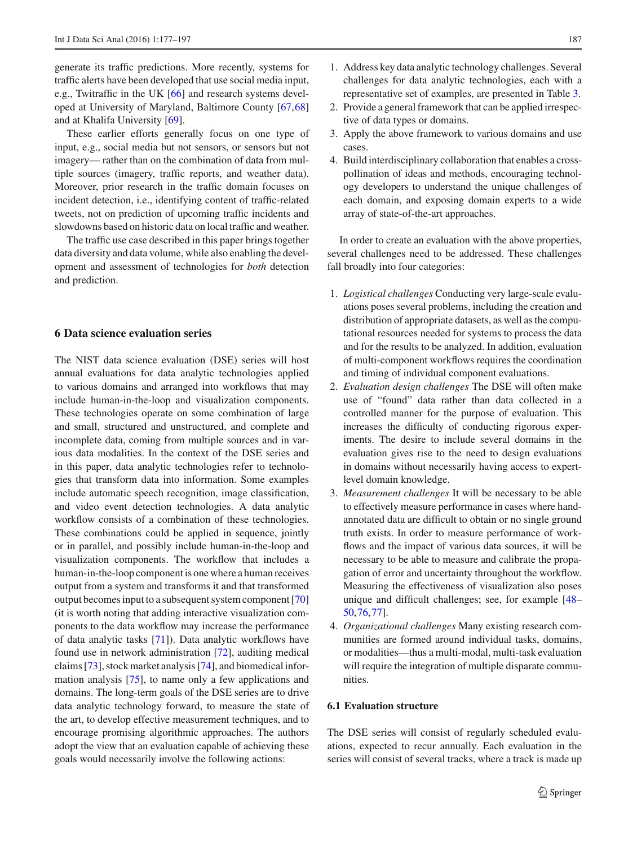generate its traffic predictions. More recently, systems for traffic alerts have been developed that use social media input, e.g., Twitraffic in the UK [\[66\]](#page-19-5) and research systems developed at University of Maryland, Baltimore County [\[67,](#page-19-6)[68\]](#page-19-7) and at Khalifa University [\[69](#page-19-8)].

These earlier efforts generally focus on one type of input, e.g., social media but not sensors, or sensors but not imagery— rather than on the combination of data from multiple sources (imagery, traffic reports, and weather data). Moreover, prior research in the traffic domain focuses on incident detection, i.e., identifying content of traffic-related tweets, not on prediction of upcoming traffic incidents and slowdowns based on historic data on local traffic and weather.

The traffic use case described in this paper brings together data diversity and data volume, while also enabling the development and assessment of technologies for *both* detection and prediction.

## <span id="page-10-0"></span>**6 Data science evaluation series**

The NIST data science evaluation (DSE) series will host annual evaluations for data analytic technologies applied to various domains and arranged into workflows that may include human-in-the-loop and visualization components. These technologies operate on some combination of large and small, structured and unstructured, and complete and incomplete data, coming from multiple sources and in various data modalities. In the context of the DSE series and in this paper, data analytic technologies refer to technologies that transform data into information. Some examples include automatic speech recognition, image classification, and video event detection technologies. A data analytic workflow consists of a combination of these technologies. These combinations could be applied in sequence, jointly or in parallel, and possibly include human-in-the-loop and visualization components. The workflow that includes a human-in-the-loop component is one where a human receives output from a system and transforms it and that transformed output becomes input to a subsequent system component [\[70\]](#page-19-9) (it is worth noting that adding interactive visualization components to the data workflow may increase the performance of data analytic tasks [\[71](#page-19-10)]). Data analytic workflows have found use in network administration [\[72](#page-19-11)], auditing medical claims [\[73\]](#page-19-12), stock market analysis [\[74\]](#page-19-13), and biomedical information analysis [\[75\]](#page-19-14), to name only a few applications and domains. The long-term goals of the DSE series are to drive data analytic technology forward, to measure the state of the art, to develop effective measurement techniques, and to encourage promising algorithmic approaches. The authors adopt the view that an evaluation capable of achieving these goals would necessarily involve the following actions:

- 1. Address key data analytic technology challenges. Several challenges for data analytic technologies, each with a representative set of examples, are presented in Table [3.](#page-14-0)
- 2. Provide a general framework that can be applied irrespective of data types or domains.
- 3. Apply the above framework to various domains and use cases.
- 4. Build interdisciplinary collaboration that enables a crosspollination of ideas and methods, encouraging technology developers to understand the unique challenges of each domain, and exposing domain experts to a wide array of state-of-the-art approaches.

In order to create an evaluation with the above properties, several challenges need to be addressed. These challenges fall broadly into four categories:

- 1. *Logistical challenges* Conducting very large-scale evaluations poses several problems, including the creation and distribution of appropriate datasets, as well as the computational resources needed for systems to process the data and for the results to be analyzed. In addition, evaluation of multi-component workflows requires the coordination and timing of individual component evaluations.
- 2. *Evaluation design challenges* The DSE will often make use of "found" data rather than data collected in a controlled manner for the purpose of evaluation. This increases the difficulty of conducting rigorous experiments. The desire to include several domains in the evaluation gives rise to the need to design evaluations in domains without necessarily having access to expertlevel domain knowledge.
- 3. *Measurement challenges* It will be necessary to be able to effectively measure performance in cases where handannotated data are difficult to obtain or no single ground truth exists. In order to measure performance of workflows and the impact of various data sources, it will be necessary to be able to measure and calibrate the propagation of error and uncertainty throughout the workflow. Measuring the effectiveness of visualization also poses unique and difficult challenges; see, for example [\[48](#page-18-33)– [50](#page-18-35)[,76](#page-19-15),[77\]](#page-19-16).
- 4. *Organizational challenges* Many existing research communities are formed around individual tasks, domains, or modalities—thus a multi-modal, multi-task evaluation will require the integration of multiple disparate communities.

### **6.1 Evaluation structure**

The DSE series will consist of regularly scheduled evaluations, expected to recur annually. Each evaluation in the series will consist of several tracks, where a track is made up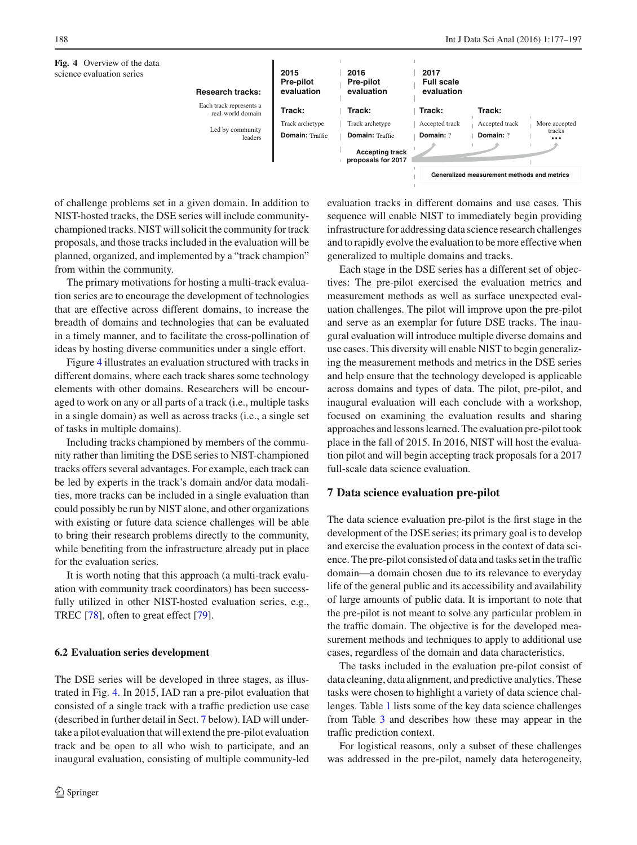<span id="page-11-1"></span>

of challenge problems set in a given domain. In addition to NIST-hosted tracks, the DSE series will include communitychampioned tracks. NIST will solicit the community for track proposals, and those tracks included in the evaluation will be planned, organized, and implemented by a "track champion" from within the community.

The primary motivations for hosting a multi-track evaluation series are to encourage the development of technologies that are effective across different domains, to increase the breadth of domains and technologies that can be evaluated in a timely manner, and to facilitate the cross-pollination of ideas by hosting diverse communities under a single effort.

Figure [4](#page-11-1) illustrates an evaluation structured with tracks in different domains, where each track shares some technology elements with other domains. Researchers will be encouraged to work on any or all parts of a track (i.e., multiple tasks in a single domain) as well as across tracks (i.e., a single set of tasks in multiple domains).

Including tracks championed by members of the community rather than limiting the DSE series to NIST-championed tracks offers several advantages. For example, each track can be led by experts in the track's domain and/or data modalities, more tracks can be included in a single evaluation than could possibly be run by NIST alone, and other organizations with existing or future data science challenges will be able to bring their research problems directly to the community, while benefiting from the infrastructure already put in place for the evaluation series.

It is worth noting that this approach (a multi-track evaluation with community track coordinators) has been successfully utilized in other NIST-hosted evaluation series, e.g., TREC [\[78](#page-19-17)], often to great effect [\[79](#page-19-18)].

#### **6.2 Evaluation series development**

The DSE series will be developed in three stages, as illustrated in Fig. [4.](#page-11-1) In 2015, IAD ran a pre-pilot evaluation that consisted of a single track with a traffic prediction use case (described in further detail in Sect. [7](#page-11-0) below). IAD will undertake a pilot evaluation that will extend the pre-pilot evaluation track and be open to all who wish to participate, and an inaugural evaluation, consisting of multiple community-led evaluation tracks in different domains and use cases. This sequence will enable NIST to immediately begin providing infrastructure for addressing data science research challenges and to rapidly evolve the evaluation to be more effective when generalized to multiple domains and tracks.

Each stage in the DSE series has a different set of objectives: The pre-pilot exercised the evaluation metrics and measurement methods as well as surface unexpected evaluation challenges. The pilot will improve upon the pre-pilot and serve as an exemplar for future DSE tracks. The inaugural evaluation will introduce multiple diverse domains and use cases. This diversity will enable NIST to begin generalizing the measurement methods and metrics in the DSE series and help ensure that the technology developed is applicable across domains and types of data. The pilot, pre-pilot, and inaugural evaluation will each conclude with a workshop, focused on examining the evaluation results and sharing approaches and lessons learned. The evaluation pre-pilot took place in the fall of 2015. In 2016, NIST will host the evaluation pilot and will begin accepting track proposals for a 2017 full-scale data science evaluation.

## <span id="page-11-0"></span>**7 Data science evaluation pre-pilot**

The data science evaluation pre-pilot is the first stage in the development of the DSE series; its primary goal is to develop and exercise the evaluation process in the context of data science. The pre-pilot consisted of data and tasks set in the traffic domain—a domain chosen due to its relevance to everyday life of the general public and its accessibility and availability of large amounts of public data. It is important to note that the pre-pilot is not meant to solve any particular problem in the traffic domain. The objective is for the developed measurement methods and techniques to apply to additional use cases, regardless of the domain and data characteristics.

The tasks included in the evaluation pre-pilot consist of data cleaning, data alignment, and predictive analytics. These tasks were chosen to highlight a variety of data science challenges. Table [1](#page-12-0) lists some of the key data science challenges from Table [3](#page-14-0) and describes how these may appear in the traffic prediction context.

For logistical reasons, only a subset of these challenges was addressed in the pre-pilot, namely data heterogeneity,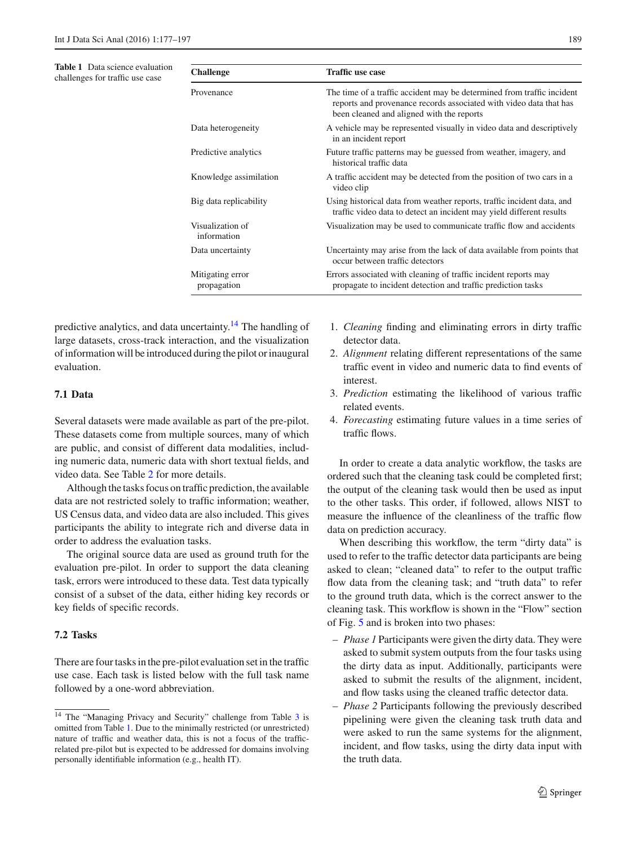<span id="page-12-0"></span>

| <b>Table 1</b> Data science evaluation |
|----------------------------------------|
| challenges for traffic use case        |

| <b>rabic 1</b> Data science evaluation<br>challenges for traffic use case | <b>Challenge</b>                | Traffic use case                                                                                                                                                                          |
|---------------------------------------------------------------------------|---------------------------------|-------------------------------------------------------------------------------------------------------------------------------------------------------------------------------------------|
|                                                                           | Provenance                      | The time of a traffic accident may be determined from traffic incident<br>reports and provenance records associated with video data that has<br>been cleaned and aligned with the reports |
|                                                                           | Data heterogeneity              | A vehicle may be represented visually in video data and descriptively<br>in an incident report                                                                                            |
|                                                                           | Predictive analytics            | Future traffic patterns may be guessed from weather, imagery, and<br>historical traffic data                                                                                              |
|                                                                           | Knowledge assimilation          | A traffic accident may be detected from the position of two cars in a<br>video clip                                                                                                       |
|                                                                           | Big data replicability          | Using historical data from weather reports, traffic incident data, and<br>traffic video data to detect an incident may yield different results                                            |
|                                                                           | Visualization of<br>information | Visualization may be used to communicate traffic flow and accidents                                                                                                                       |
|                                                                           | Data uncertainty                | Uncertainty may arise from the lack of data available from points that<br>occur between traffic detectors                                                                                 |
|                                                                           | Mitigating error<br>propagation | Errors associated with cleaning of traffic incident reports may<br>propagate to incident detection and traffic prediction tasks                                                           |
|                                                                           |                                 |                                                                                                                                                                                           |

predictive analytics, and data uncertainty.<sup>14</sup> The handling of large datasets, cross-track interaction, and the visualization of information will be introduced during the pilot or inaugural evaluation.

## **7.1 Data**

Several datasets were made available as part of the pre-pilot. These datasets come from multiple sources, many of which are public, and consist of different data modalities, including numeric data, numeric data with short textual fields, and video data. See Table [2](#page-13-0) for more details.

Although the tasks focus on traffic prediction, the available data are not restricted solely to traffic information; weather, US Census data, and video data are also included. This gives participants the ability to integrate rich and diverse data in order to address the evaluation tasks.

The original source data are used as ground truth for the evaluation pre-pilot. In order to support the data cleaning task, errors were introduced to these data. Test data typically consist of a subset of the data, either hiding key records or key fields of specific records.

## <span id="page-12-2"></span>**7.2 Tasks**

There are four tasks in the pre-pilot evaluation set in the traffic use case. Each task is listed below with the full task name followed by a one-word abbreviation.

- 1. *Cleaning* finding and eliminating errors in dirty traffic detector data.
- 2. *Alignment* relating different representations of the same traffic event in video and numeric data to find events of interest.
- 3. *Prediction* estimating the likelihood of various traffic related events.
- 4. *Forecasting* estimating future values in a time series of traffic flows.

In order to create a data analytic workflow, the tasks are ordered such that the cleaning task could be completed first; the output of the cleaning task would then be used as input to the other tasks. This order, if followed, allows NIST to measure the influence of the cleanliness of the traffic flow data on prediction accuracy.

When describing this workflow, the term "dirty data" is used to refer to the traffic detector data participants are being asked to clean; "cleaned data" to refer to the output traffic flow data from the cleaning task; and "truth data" to refer to the ground truth data, which is the correct answer to the cleaning task. This workflow is shown in the "Flow" section of Fig. [5](#page-14-1) and is broken into two phases:

- *Phase 1* Participants were given the dirty data. They were asked to submit system outputs from the four tasks using the dirty data as input. Additionally, participants were asked to submit the results of the alignment, incident, and flow tasks using the cleaned traffic detector data.
- *Phase 2* Participants following the previously described pipelining were given the cleaning task truth data and were asked to run the same systems for the alignment, incident, and flow tasks, using the dirty data input with the truth data.

<span id="page-12-1"></span><sup>&</sup>lt;sup>14</sup> The "Managing Privacy and Security" challenge from Table [3](#page-14-0) is omitted from Table [1.](#page-12-0) Due to the minimally restricted (or unrestricted) nature of traffic and weather data, this is not a focus of the trafficrelated pre-pilot but is expected to be addressed for domains involving personally identifiable information (e.g., health IT).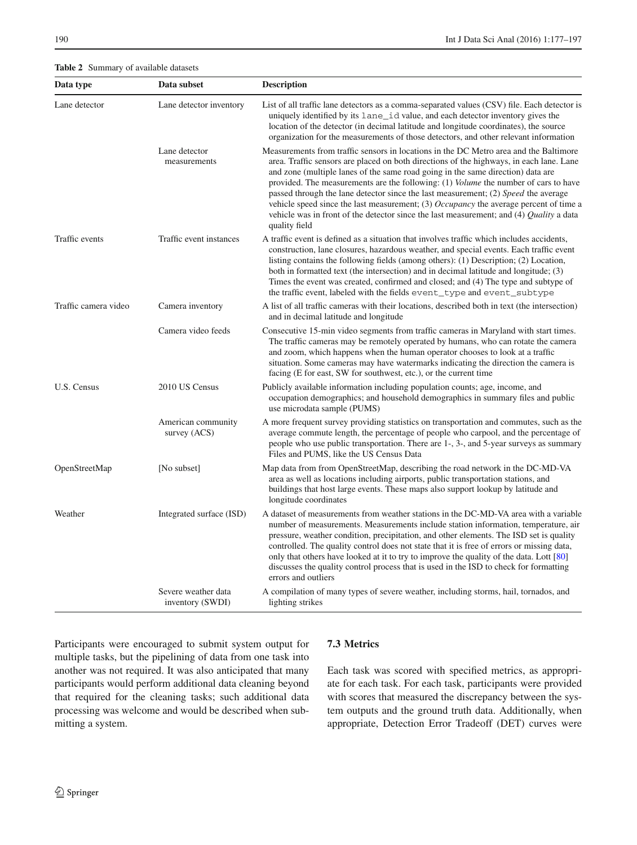**Table 2** Summary of available datasets

<span id="page-13-0"></span>

| Data type            | Data subset                             | <b>Description</b>                                                                                                                                                                                                                                                                                                                                                                                                                                                                                                                                                                                                                                                  |
|----------------------|-----------------------------------------|---------------------------------------------------------------------------------------------------------------------------------------------------------------------------------------------------------------------------------------------------------------------------------------------------------------------------------------------------------------------------------------------------------------------------------------------------------------------------------------------------------------------------------------------------------------------------------------------------------------------------------------------------------------------|
| Lane detector        | Lane detector inventory                 | List of all traffic lane detectors as a comma-separated values (CSV) file. Each detector is<br>uniquely identified by its lane_id value, and each detector inventory gives the<br>location of the detector (in decimal latitude and longitude coordinates), the source<br>organization for the measurements of those detectors, and other relevant information                                                                                                                                                                                                                                                                                                      |
|                      | Lane detector<br>measurements           | Measurements from traffic sensors in locations in the DC Metro area and the Baltimore<br>area. Traffic sensors are placed on both directions of the highways, in each lane. Lane<br>and zone (multiple lanes of the same road going in the same direction) data are<br>provided. The measurements are the following: (1) <i>Volume</i> the number of cars to have<br>passed through the lane detector since the last measurement; (2) Speed the average<br>vehicle speed since the last measurement; (3) Occupancy the average percent of time a<br>vehicle was in front of the detector since the last measurement; and (4) <i>Quality</i> a data<br>quality field |
| Traffic events       | Traffic event instances                 | A traffic event is defined as a situation that involves traffic which includes accidents,<br>construction, lane closures, hazardous weather, and special events. Each traffic event<br>listing contains the following fields (among others): (1) Description; (2) Location,<br>both in formatted text (the intersection) and in decimal latitude and longitude; (3)<br>Times the event was created, confirmed and closed; and (4) The type and subtype of<br>the traffic event, labeled with the fields event_type and event_subtype                                                                                                                                |
| Traffic camera video | Camera inventory                        | A list of all traffic cameras with their locations, described both in text (the intersection)<br>and in decimal latitude and longitude                                                                                                                                                                                                                                                                                                                                                                                                                                                                                                                              |
|                      | Camera video feeds                      | Consecutive 15-min video segments from traffic cameras in Maryland with start times.<br>The traffic cameras may be remotely operated by humans, who can rotate the camera<br>and zoom, which happens when the human operator chooses to look at a traffic<br>situation. Some cameras may have watermarks indicating the direction the camera is<br>facing (E for east, SW for southwest, etc.), or the current time                                                                                                                                                                                                                                                 |
| U.S. Census          | 2010 US Census                          | Publicly available information including population counts; age, income, and<br>occupation demographics; and household demographics in summary files and public<br>use microdata sample (PUMS)                                                                                                                                                                                                                                                                                                                                                                                                                                                                      |
|                      | American community<br>survey (ACS)      | A more frequent survey providing statistics on transportation and commutes, such as the<br>average commute length, the percentage of people who carpool, and the percentage of<br>people who use public transportation. There are 1-, 3-, and 5-year surveys as summary<br>Files and PUMS, like the US Census Data                                                                                                                                                                                                                                                                                                                                                  |
| OpenStreetMap        | [No subset]                             | Map data from from OpenStreetMap, describing the road network in the DC-MD-VA<br>area as well as locations including airports, public transportation stations, and<br>buildings that host large events. These maps also support lookup by latitude and<br>longitude coordinates                                                                                                                                                                                                                                                                                                                                                                                     |
| Weather              | Integrated surface (ISD)                | A dataset of measurements from weather stations in the DC-MD-VA area with a variable<br>number of measurements. Measurements include station information, temperature, air<br>pressure, weather condition, precipitation, and other elements. The ISD set is quality<br>controlled. The quality control does not state that it is free of errors or missing data,<br>only that others have looked at it to try to improve the quality of the data. Lott [80]<br>discusses the quality control process that is used in the ISD to check for formatting<br>errors and outliers                                                                                        |
|                      | Severe weather data<br>inventory (SWDI) | A compilation of many types of severe weather, including storms, hail, tornados, and<br>lighting strikes                                                                                                                                                                                                                                                                                                                                                                                                                                                                                                                                                            |

Participants were encouraged to submit system output for multiple tasks, but the pipelining of data from one task into another was not required. It was also anticipated that many participants would perform additional data cleaning beyond that required for the cleaning tasks; such additional data processing was welcome and would be described when submitting a system.

## **7.3 Metrics**

Each task was scored with specified metrics, as appropriate for each task. For each task, participants were provided with scores that measured the discrepancy between the system outputs and the ground truth data. Additionally, when appropriate, Detection Error Tradeoff (DET) curves were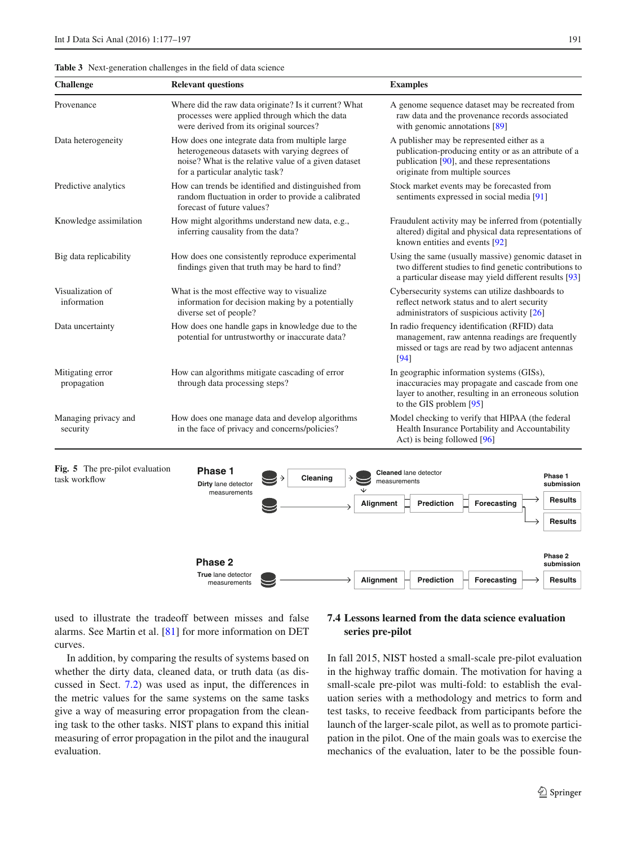#### **Table 3** Next-generation challenges in the field of data science

<span id="page-14-0"></span>

| <b>Challenge</b>                 | <b>Relevant questions</b>                                                                                                                                                                    | <b>Examples</b>                                                                                                                                                                      |
|----------------------------------|----------------------------------------------------------------------------------------------------------------------------------------------------------------------------------------------|--------------------------------------------------------------------------------------------------------------------------------------------------------------------------------------|
| Provenance                       | Where did the raw data originate? Is it current? What<br>processes were applied through which the data<br>were derived from its original sources?                                            | A genome sequence dataset may be recreated from<br>raw data and the provenance records associated<br>with genomic annotations [89]                                                   |
| Data heterogeneity               | How does one integrate data from multiple large<br>heterogeneous datasets with varying degrees of<br>noise? What is the relative value of a given dataset<br>for a particular analytic task? | A publisher may be represented either as a<br>publication-producing entity or as an attribute of a<br>publication [90], and these representations<br>originate from multiple sources |
| Predictive analytics             | How can trends be identified and distinguished from<br>random fluctuation in order to provide a calibrated<br>forecast of future values?                                                     | Stock market events may be forecasted from<br>sentiments expressed in social media [91]                                                                                              |
| Knowledge assimilation           | How might algorithms understand new data, e.g.,<br>inferring causality from the data?                                                                                                        | Fraudulent activity may be inferred from (potentially<br>altered) digital and physical data representations of<br>known entities and events [92]                                     |
| Big data replicability           | How does one consistently reproduce experimental<br>findings given that truth may be hard to find?                                                                                           | Using the same (usually massive) genomic dataset in<br>two different studies to find genetic contributions to<br>a particular disease may yield different results [93]               |
| Visualization of<br>information  | What is the most effective way to visualize<br>information for decision making by a potentially<br>diverse set of people?                                                                    | Cybersecurity systems can utilize dashboards to<br>reflect network status and to alert security<br>administrators of suspicious activity $[26]$                                      |
| Data uncertainty                 | How does one handle gaps in knowledge due to the<br>potential for untrustworthy or inaccurate data?                                                                                          | In radio frequency identification (RFID) data<br>management, raw antenna readings are frequently<br>missed or tags are read by two adjacent antennas<br>[94]                         |
| Mitigating error<br>propagation  | How can algorithms mitigate cascading of error<br>through data processing steps?                                                                                                             | In geographic information systems (GISs),<br>inaccuracies may propagate and cascade from one<br>layer to another, resulting in an erroneous solution<br>to the GIS problem [95]      |
| Managing privacy and<br>security | How does one manage data and develop algorithms<br>in the face of privacy and concerns/policies?                                                                                             | Model checking to verify that HIPAA (the federal<br>Health Insurance Portability and Accountability<br>Act) is being followed [96]                                                   |

<span id="page-14-1"></span>

used to illustrate the tradeoff between misses and false alarms. See Martin et al. [\[81\]](#page-19-28) for more information on DET curves.

In addition, by comparing the results of systems based on whether the dirty data, cleaned data, or truth data (as discussed in Sect. [7.2\)](#page-12-2) was used as input, the differences in the metric values for the same systems on the same tasks give a way of measuring error propagation from the cleaning task to the other tasks. NIST plans to expand this initial measuring of error propagation in the pilot and the inaugural evaluation.

# **7.4 Lessons learned from the data science evaluation series pre-pilot**

In fall 2015, NIST hosted a small-scale pre-pilot evaluation in the highway traffic domain. The motivation for having a small-scale pre-pilot was multi-fold: to establish the evaluation series with a methodology and metrics to form and test tasks, to receive feedback from participants before the launch of the larger-scale pilot, as well as to promote participation in the pilot. One of the main goals was to exercise the mechanics of the evaluation, later to be the possible foun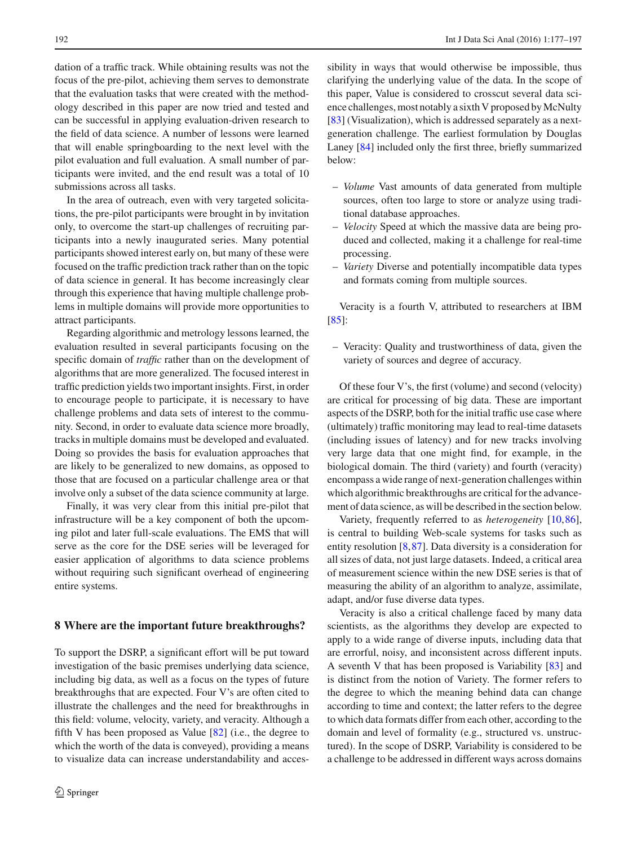dation of a traffic track. While obtaining results was not the focus of the pre-pilot, achieving them serves to demonstrate that the evaluation tasks that were created with the methodology described in this paper are now tried and tested and can be successful in applying evaluation-driven research to the field of data science. A number of lessons were learned that will enable springboarding to the next level with the pilot evaluation and full evaluation. A small number of participants were invited, and the end result was a total of 10 submissions across all tasks.

In the area of outreach, even with very targeted solicitations, the pre-pilot participants were brought in by invitation only, to overcome the start-up challenges of recruiting participants into a newly inaugurated series. Many potential participants showed interest early on, but many of these were focused on the traffic prediction track rather than on the topic of data science in general. It has become increasingly clear through this experience that having multiple challenge problems in multiple domains will provide more opportunities to attract participants.

Regarding algorithmic and metrology lessons learned, the evaluation resulted in several participants focusing on the specific domain of *traffic* rather than on the development of algorithms that are more generalized. The focused interest in traffic prediction yields two important insights. First, in order to encourage people to participate, it is necessary to have challenge problems and data sets of interest to the community. Second, in order to evaluate data science more broadly, tracks in multiple domains must be developed and evaluated. Doing so provides the basis for evaluation approaches that are likely to be generalized to new domains, as opposed to those that are focused on a particular challenge area or that involve only a subset of the data science community at large.

Finally, it was very clear from this initial pre-pilot that infrastructure will be a key component of both the upcoming pilot and later full-scale evaluations. The EMS that will serve as the core for the DSE series will be leveraged for easier application of algorithms to data science problems without requiring such significant overhead of engineering entire systems.

#### <span id="page-15-0"></span>**8 Where are the important future breakthroughs?**

To support the DSRP, a significant effort will be put toward investigation of the basic premises underlying data science, including big data, as well as a focus on the types of future breakthroughs that are expected. Four V's are often cited to illustrate the challenges and the need for breakthroughs in this field: volume, velocity, variety, and veracity. Although a fifth V has been proposed as Value [\[82](#page-19-29)] (i.e., the degree to which the worth of the data is conveyed), providing a means to visualize data can increase understandability and accessibility in ways that would otherwise be impossible, thus clarifying the underlying value of the data. In the scope of this paper, Value is considered to crosscut several data science challenges, most notably a sixth V proposed by McNulty [\[83](#page-19-30)] (Visualization), which is addressed separately as a nextgeneration challenge. The earliest formulation by Douglas Laney [\[84\]](#page-19-31) included only the first three, briefly summarized below:

- *Volume* Vast amounts of data generated from multiple sources, often too large to store or analyze using traditional database approaches.
- *Velocity* Speed at which the massive data are being produced and collected, making it a challenge for real-time processing.
- *Variety* Diverse and potentially incompatible data types and formats coming from multiple sources.

Veracity is a fourth V, attributed to researchers at IBM [\[85](#page-19-32)]:

– Veracity: Quality and trustworthiness of data, given the variety of sources and degree of accuracy.

Of these four V's, the first (volume) and second (velocity) are critical for processing of big data. These are important aspects of the DSRP, both for the initial traffic use case where (ultimately) traffic monitoring may lead to real-time datasets (including issues of latency) and for new tracks involving very large data that one might find, for example, in the biological domain. The third (variety) and fourth (veracity) encompass a wide range of next-generation challenges within which algorithmic breakthroughs are critical for the advancement of data science, as will be described in the section below.

Variety, frequently referred to as *heterogeneity* [\[10](#page-17-9)[,86](#page-19-33)], is central to building Web-scale systems for tasks such as entity resolution [\[8,](#page-17-7)[87\]](#page-19-34). Data diversity is a consideration for all sizes of data, not just large datasets. Indeed, a critical area of measurement science within the new DSE series is that of measuring the ability of an algorithm to analyze, assimilate, adapt, and/or fuse diverse data types.

Veracity is also a critical challenge faced by many data scientists, as the algorithms they develop are expected to apply to a wide range of diverse inputs, including data that are errorful, noisy, and inconsistent across different inputs. A seventh V that has been proposed is Variability [\[83\]](#page-19-30) and is distinct from the notion of Variety. The former refers to the degree to which the meaning behind data can change according to time and context; the latter refers to the degree to which data formats differ from each other, according to the domain and level of formality (e.g., structured vs. unstructured). In the scope of DSRP, Variability is considered to be a challenge to be addressed in different ways across domains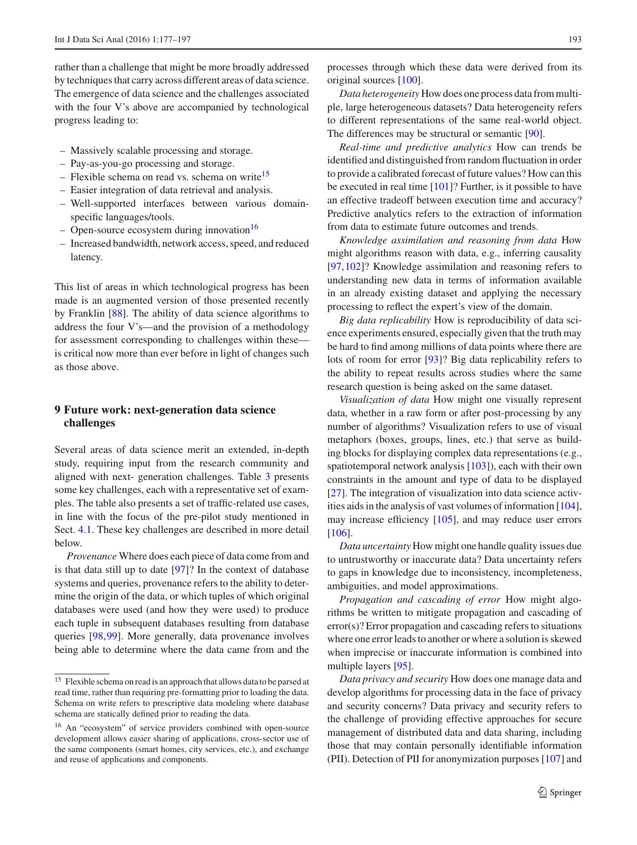rather than a challenge that might be more broadly addressed by techniques that carry across different areas of data science. The emergence of data science and the challenges associated with the four V's above are accompanied by technological progress leading to:

- Massively scalable processing and storage.
- Pay-as-you-go processing and storage.
- $-$  Flexible schema on read vs. schema on write<sup>15</sup>
- Easier integration of data retrieval and analysis.
- Well-supported interfaces between various domainspecific languages/tools.
- Open-source ecosystem during innovation<sup>[16](#page-16-2)</sup>
- Increased bandwidth, network access, speed, and reduced latency.

This list of areas in which technological progress has been made is an augmented version of those presented recently by Franklin [\[88\]](#page-19-35). The ability of data science algorithms to address the four V's—and the provision of a methodology for assessment corresponding to challenges within these is critical now more than ever before in light of changes such as those above.

# <span id="page-16-0"></span>**9 Future work: next-generation data science challenges**

Several areas of data science merit an extended, in-depth study, requiring input from the research community and aligned with next- generation challenges. Table [3](#page-14-0) presents some key challenges, each with a representative set of examples. The table also presents a set of traffic-related use cases, in line with the focus of the pre-pilot study mentioned in Sect. [4.1.](#page-4-0) These key challenges are described in more detail below.

*Provenance* Where does each piece of data come from and is that data still up to date [\[97\]](#page-19-36)? In the context of database systems and queries, provenance refers to the ability to determine the origin of the data, or which tuples of which original databases were used (and how they were used) to produce each tuple in subsequent databases resulting from database queries [\[98,](#page-19-37)[99\]](#page-19-38). More generally, data provenance involves being able to determine where the data came from and the

processes through which these data were derived from its original sources [\[100](#page-19-39)].

*Data heterogeneity* How does one process data from multiple, large heterogeneous datasets? Data heterogeneity refers to different representations of the same real-world object. The differences may be structural or semantic [\[90](#page-19-21)].

*Real-time and predictive analytics* How can trends be identified and distinguished from random fluctuation in order to provide a calibrated forecast of future values? How can this be executed in real time [\[101\]](#page-19-40)? Further, is it possible to have an effective tradeoff between execution time and accuracy? Predictive analytics refers to the extraction of information from data to estimate future outcomes and trends.

*Knowledge assimilation and reasoning from data* How might algorithms reason with data, e.g., inferring causality [\[97](#page-19-36),[102\]](#page-19-41)? Knowledge assimilation and reasoning refers to understanding new data in terms of information available in an already existing dataset and applying the necessary processing to reflect the expert's view of the domain.

*Big data replicability* How is reproducibility of data science experiments ensured, especially given that the truth may be hard to find among millions of data points where there are lots of room for error [\[93\]](#page-19-24)? Big data replicability refers to the ability to repeat results across studies where the same research question is being asked on the same dataset.

*Visualization of data* How might one visually represent data, whether in a raw form or after post-processing by any number of algorithms? Visualization refers to use of visual metaphors (boxes, groups, lines, etc.) that serve as building blocks for displaying complex data representations (e.g., spatiotemporal network analysis [\[103](#page-19-42)]), each with their own constraints in the amount and type of data to be displayed [\[27](#page-18-13)]. The integration of visualization into data science activities aids in the analysis of vast volumes of information [\[104](#page-20-0)], may increase efficiency [\[105](#page-20-1)], and may reduce user errors [\[106](#page-20-2)].

*Data uncertainty* How might one handle quality issues due to untrustworthy or inaccurate data? Data uncertainty refers to gaps in knowledge due to inconsistency, incompleteness, ambiguities, and model approximations.

*Propagation and cascading of error* How might algorithms be written to mitigate propagation and cascading of error(s)? Error propagation and cascading refers to situations where one error leads to another or where a solution is skewed when imprecise or inaccurate information is combined into multiple layers [\[95](#page-19-26)].

*Data privacy and security* How does one manage data and develop algorithms for processing data in the face of privacy and security concerns? Data privacy and security refers to the challenge of providing effective approaches for secure management of distributed data and data sharing, including those that may contain personally identifiable information (PII). Detection of PII for anonymization purposes [\[107\]](#page-20-3) and

<span id="page-16-1"></span> $\frac{15}{15}$  Flexible schema on read is an approach that allows data to be parsed at read time, rather than requiring pre-formatting prior to loading the data. Schema on write refers to prescriptive data modeling where database schema are statically defined prior to reading the data.

<span id="page-16-2"></span><sup>16</sup> An "ecosystem" of service providers combined with open-source development allows easier sharing of applications, cross-sector use of the same components (smart homes, city services, etc.), and exchange and reuse of applications and components.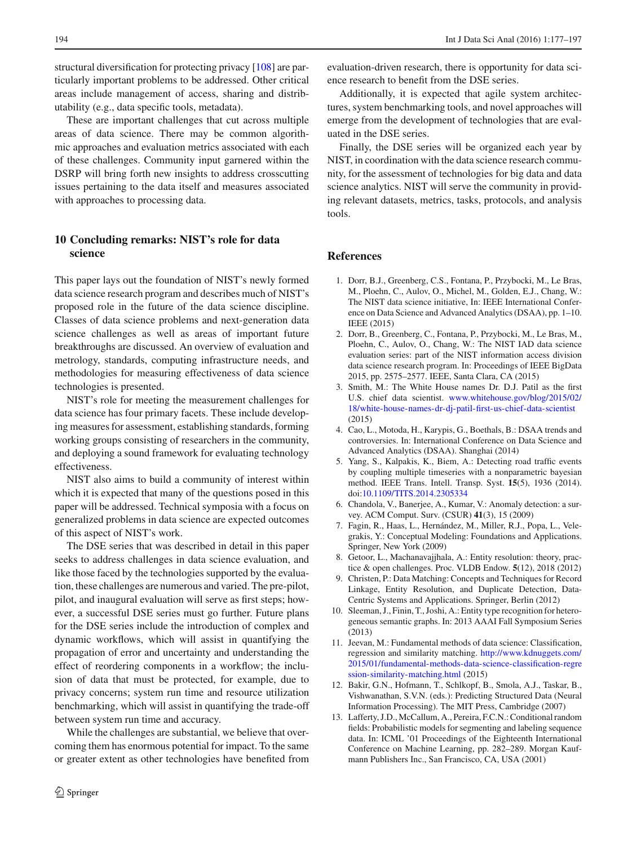structural diversification for protecting privacy [\[108](#page-20-4)] are particularly important problems to be addressed. Other critical areas include management of access, sharing and distributability (e.g., data specific tools, metadata).

These are important challenges that cut across multiple areas of data science. There may be common algorithmic approaches and evaluation metrics associated with each of these challenges. Community input garnered within the DSRP will bring forth new insights to address crosscutting issues pertaining to the data itself and measures associated with approaches to processing data.

# **10 Concluding remarks: NIST's role for data science**

This paper lays out the foundation of NIST's newly formed data science research program and describes much of NIST's proposed role in the future of the data science discipline. Classes of data science problems and next-generation data science challenges as well as areas of important future breakthroughs are discussed. An overview of evaluation and metrology, standards, computing infrastructure needs, and methodologies for measuring effectiveness of data science technologies is presented.

NIST's role for meeting the measurement challenges for data science has four primary facets. These include developing measures for assessment, establishing standards, forming working groups consisting of researchers in the community, and deploying a sound framework for evaluating technology effectiveness.

NIST also aims to build a community of interest within which it is expected that many of the questions posed in this paper will be addressed. Technical symposia with a focus on generalized problems in data science are expected outcomes of this aspect of NIST's work.

The DSE series that was described in detail in this paper seeks to address challenges in data science evaluation, and like those faced by the technologies supported by the evaluation, these challenges are numerous and varied. The pre-pilot, pilot, and inaugural evaluation will serve as first steps; however, a successful DSE series must go further. Future plans for the DSE series include the introduction of complex and dynamic workflows, which will assist in quantifying the propagation of error and uncertainty and understanding the effect of reordering components in a workflow; the inclusion of data that must be protected, for example, due to privacy concerns; system run time and resource utilization benchmarking, which will assist in quantifying the trade-off between system run time and accuracy.

While the challenges are substantial, we believe that overcoming them has enormous potential for impact. To the same or greater extent as other technologies have benefited from evaluation-driven research, there is opportunity for data science research to benefit from the DSE series.

Additionally, it is expected that agile system architectures, system benchmarking tools, and novel approaches will emerge from the development of technologies that are evaluated in the DSE series.

Finally, the DSE series will be organized each year by NIST, in coordination with the data science research community, for the assessment of technologies for big data and data science analytics. NIST will serve the community in providing relevant datasets, metrics, tasks, protocols, and analysis tools.

## <span id="page-17-0"></span>**References**

- 1. Dorr, B.J., Greenberg, C.S., Fontana, P., Przybocki, M., Le Bras, M., Ploehn, C., Aulov, O., Michel, M., Golden, E.J., Chang, W.: The NIST data science initiative, In: IEEE International Conference on Data Science and Advanced Analytics (DSAA), pp. 1–10. IEEE (2015)
- <span id="page-17-1"></span>2. Dorr, B., Greenberg, C., Fontana, P., Przybocki, M., Le Bras, M., Ploehn, C., Aulov, O., Chang, W.: The NIST IAD data science evaluation series: part of the NIST information access division data science research program. In: Proceedings of IEEE BigData 2015, pp. 2575–2577. IEEE, Santa Clara, CA (2015)
- <span id="page-17-2"></span>3. Smith, M.: The White House names Dr. D.J. Patil as the first U.S. chief data scientist. [www.whitehouse.gov/blog/2015/02/](www.whitehouse.gov/blog/2015/02/18/white-house-names-dr-dj-patil-first-us-chief-data-scientist) [18/white-house-names-dr-dj-patil-first-us-chief-data-scientist](www.whitehouse.gov/blog/2015/02/18/white-house-names-dr-dj-patil-first-us-chief-data-scientist) (2015)
- <span id="page-17-3"></span>4. Cao, L., Motoda, H., Karypis, G., Boethals, B.: DSAA trends and controversies. In: International Conference on Data Science and Advanced Analytics (DSAA). Shanghai (2014)
- <span id="page-17-4"></span>5. Yang, S., Kalpakis, K., Biem, A.: Detecting road traffic events by coupling multiple timeseries with a nonparametric bayesian method. IEEE Trans. Intell. Transp. Syst. **15**(5), 1936 (2014). doi[:10.1109/TITS.2014.2305334](http://dx.doi.org/10.1109/TITS.2014.2305334)
- <span id="page-17-5"></span>6. Chandola, V., Banerjee, A., Kumar, V.: Anomaly detection: a survey. ACM Comput. Surv. (CSUR) **41**(3), 15 (2009)
- <span id="page-17-6"></span>7. Fagin, R., Haas, L., Hernández, M., Miller, R.J., Popa, L., Velegrakis, Y.: Conceptual Modeling: Foundations and Applications. Springer, New York (2009)
- <span id="page-17-7"></span>8. Getoor, L., Machanavajjhala, A.: Entity resolution: theory, practice & open challenges. Proc. VLDB Endow. **5**(12), 2018 (2012)
- <span id="page-17-8"></span>9. Christen, P.: Data Matching: Concepts and Techniques for Record Linkage, Entity Resolution, and Duplicate Detection, Data-Centric Systems and Applications. Springer, Berlin (2012)
- <span id="page-17-9"></span>10. Sleeman, J., Finin, T., Joshi, A.: Entity type recognition for heterogeneous semantic graphs. In: 2013 AAAI Fall Symposium Series (2013)
- <span id="page-17-10"></span>11. Jeevan, M.: Fundamental methods of data science: Classification, regression and similarity matching. [http://www.kdnuggets.com/](http://www.kdnuggets.com/2015/01/fundamental-methods-data-science-classification-regression-similarity-matching.html) [2015/01/fundamental-methods-data-science-classification-regre](http://www.kdnuggets.com/2015/01/fundamental-methods-data-science-classification-regression-similarity-matching.html) [ssion-similarity-matching.html](http://www.kdnuggets.com/2015/01/fundamental-methods-data-science-classification-regression-similarity-matching.html) (2015)
- <span id="page-17-11"></span>12. Bakir, G.N., Hofmann, T., Schlkopf, B., Smola, A.J., Taskar, B., Vishwanathan, S.V.N. (eds.): Predicting Structured Data (Neural Information Processing). The MIT Press, Cambridge (2007)
- <span id="page-17-12"></span>13. Lafferty, J.D., McCallum, A., Pereira, F.C.N.: Conditional random fields: Probabilistic models for segmenting and labeling sequence data. In: ICML '01 Proceedings of the Eighteenth International Conference on Machine Learning, pp. 282–289. Morgan Kaufmann Publishers Inc., San Francisco, CA, USA (2001)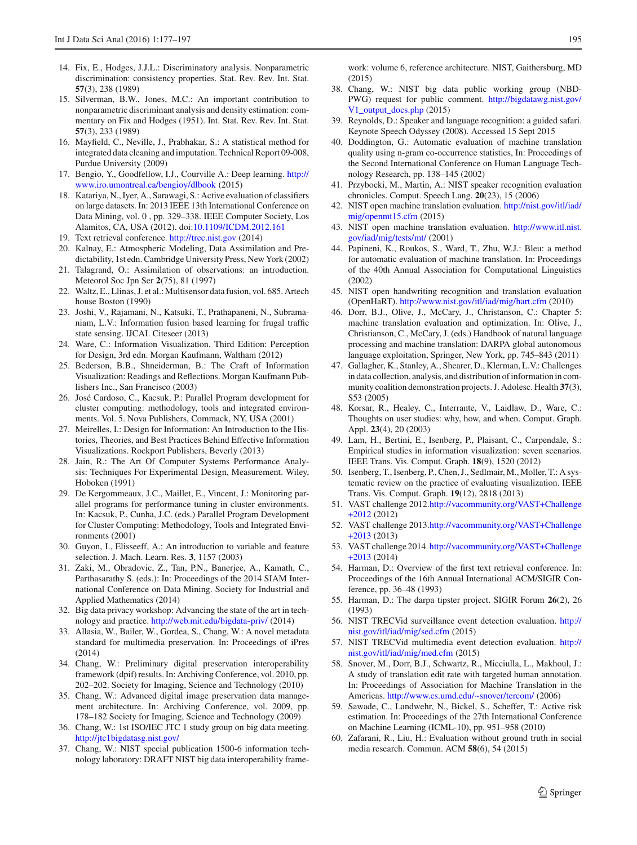- <span id="page-18-0"></span>14. Fix, E., Hodges, J.J.L.: Discriminatory analysis. Nonparametric discrimination: consistency properties. Stat. Rev. Rev. Int. Stat. **57**(3), 238 (1989)
- <span id="page-18-1"></span>15. Silverman, B.W., Jones, M.C.: An important contribution to nonparametric discriminant analysis and density estimation: commentary on Fix and Hodges (1951). Int. Stat. Rev. Rev. Int. Stat. **57**(3), 233 (1989)
- <span id="page-18-2"></span>16. Mayfield, C., Neville, J., Prabhakar, S.: A statistical method for integrated data cleaning and imputation. Technical Report 09-008, Purdue University (2009)
- <span id="page-18-3"></span>17. Bengio, Y., Goodfellow, I.J., Courville A.: Deep learning. [http://](http://www.iro.umontreal.ca/bengioy/dlbook) [www.iro.umontreal.ca/bengioy/dlbook](http://www.iro.umontreal.ca/bengioy/dlbook) (2015)
- <span id="page-18-4"></span>18. Katariya, N., Iyer, A., Sarawagi, S.: Active evaluation of classifiers on large datasets. In: 2013 IEEE 13th International Conference on Data Mining, vol. 0 , pp. 329–338. IEEE Computer Society, Los Alamitos, CA, USA (2012). doi[:10.1109/ICDM.2012.161](http://dx.doi.org/10.1109/ICDM.2012.161)
- 19. Text retrieval conference. <http://trec.nist.gov> (2014)
- <span id="page-18-6"></span><span id="page-18-5"></span>20. Kalnay, E.: Atmospheric Modeling, Data Assimilation and Predictability, 1st edn. Cambridge University Press, New York (2002)
- <span id="page-18-7"></span>21. Talagrand, O.: Assimilation of observations: an introduction. Meteorol Soc Jpn Ser **2**(75), 81 (1997)
- <span id="page-18-8"></span>22. Waltz, E., Llinas, J. et al.: Multisensor data fusion, vol. 685. Artech house Boston (1990)
- <span id="page-18-9"></span>23. Joshi, V., Rajamani, N., Katsuki, T., Prathapaneni, N., Subramaniam, L.V.: Information fusion based learning for frugal traffic state sensing. IJCAI. Citeseer (2013)
- <span id="page-18-10"></span>24. Ware, C.: Information Visualization, Third Edition: Perception for Design, 3rd edn. Morgan Kaufmann, Waltham (2012)
- <span id="page-18-11"></span>25. Bederson, B.B., Shneiderman, B.: The Craft of Information Visualization: Readings and Reflections. Morgan Kaufmann Publishers Inc., San Francisco (2003)
- <span id="page-18-12"></span>26. José Cardoso, C., Kacsuk, P.: Parallel Program development for cluster computing: methodology, tools and integrated environments. Vol. 5. Nova Publishers, Commack, NY, USA (2001)
- <span id="page-18-13"></span>27. Meirelles, I.: Design for Information: An Introduction to the Histories, Theories, and Best Practices Behind Effective Information Visualizations. Rockport Publishers, Beverly (2013)
- <span id="page-18-14"></span>28. Jain, R.: The Art Of Computer Systems Performance Analysis: Techniques For Experimental Design, Measurement. Wiley, Hoboken (1991)
- <span id="page-18-15"></span>29. De Kergommeaux, J.C., Maillet, E., Vincent, J.: Monitoring parallel programs for performance tuning in cluster environments. In: Kacsuk, P., Cunha, J.C. (eds.) Parallel Program Development for Cluster Computing: Methodology, Tools and Integrated Environments (2001)
- <span id="page-18-16"></span>30. Guyon, I., Elisseeff, A.: An introduction to variable and feature selection. J. Mach. Learn. Res. **3**, 1157 (2003)
- <span id="page-18-17"></span>31. Zaki, M., Obradovic, Z., Tan, P.N., Banerjee, A., Kamath, C., Parthasarathy S. (eds.): In: Proceedings of the 2014 SIAM International Conference on Data Mining. Society for Industrial and Applied Mathematics (2014)
- <span id="page-18-18"></span>32. Big data privacy workshop: Advancing the state of the art in technology and practice. <http://web.mit.edu/bigdata-priv/> (2014)
- <span id="page-18-19"></span>33. Allasia, W., Bailer, W., Gordea, S., Chang, W.: A novel metadata standard for multimedia preservation. In: Proceedings of iPres (2014)
- 34. Chang, W.: Preliminary digital preservation interoperability framework (dpif) results. In: Archiving Conference, vol. 2010, pp. 202–202. Society for Imaging, Science and Technology (2010)
- <span id="page-18-20"></span>35. Chang, W.: Advanced digital image preservation data management architecture. In: Archiving Conference, vol. 2009, pp. 178–182 Society for Imaging, Science and Technology (2009)
- <span id="page-18-21"></span>36. Chang, W.: 1st ISO/IEC JTC 1 study group on big data meeting. <http://jtc1bigdatasg.nist.gov/>
- <span id="page-18-22"></span>37. Chang, W.: NIST special publication 1500-6 information technology laboratory: DRAFT NIST big data interoperability frame-

work: volume 6, reference architecture. NIST, Gaithersburg, MD (2015)

- <span id="page-18-23"></span>38. Chang, W.: NIST big data public working group (NBD-PWG) request for public comment. [http://bigdatawg.nist.gov/](http://bigdatawg.nist.gov/V1_output_docs.php) [V1\\_output\\_docs.php](http://bigdatawg.nist.gov/V1_output_docs.php) (2015)
- <span id="page-18-24"></span>39. Reynolds, D.: Speaker and language recognition: a guided safari. Keynote Speech Odyssey (2008). Accessed 15 Sept 2015
- <span id="page-18-25"></span>40. Doddington, G.: Automatic evaluation of machine translation quality using n-gram co-occurrence statistics, In: Proceedings of the Second International Conference on Human Language Technology Research, pp. 138–145 (2002)
- <span id="page-18-26"></span>41. Przybocki, M., Martin, A.: NIST speaker recognition evaluation chronicles. Comput. Speech Lang. **20**(23), 15 (2006)
- <span id="page-18-27"></span>42. NIST open machine translation evaluation. [http://nist.gov/itl/iad/](http://nist.gov/itl/iad/mig/openmt15.cfm) [mig/openmt15.cfm](http://nist.gov/itl/iad/mig/openmt15.cfm) (2015)
- <span id="page-18-28"></span>43. NIST open machine translation evaluation. [http://www.itl.nist.](http://www.itl.nist.gov/iad/mig/tests/mt/) [gov/iad/mig/tests/mt/](http://www.itl.nist.gov/iad/mig/tests/mt/) (2001)
- <span id="page-18-29"></span>44. Papineni, K., Roukos, S., Ward, T., Zhu, W.J.: Bleu: a method for automatic evaluation of machine translation. In: Proceedings of the 40th Annual Association for Computational Linguistics (2002)
- <span id="page-18-30"></span>45. NIST open handwriting recognition and translation evaluation (OpenHaRT). <http://www.nist.gov/itl/iad/mig/hart.cfm> (2010)
- <span id="page-18-31"></span>46. Dorr, B.J., Olive, J., McCary, J., Christanson, C.: Chapter 5: machine translation evaluation and optimization. In: Olive, J., Christianson, C., McCary, J. (eds.) Handbook of natural language processing and machine translation: DARPA global autonomous language exploitation, Springer, New York, pp. 745–843 (2011)
- <span id="page-18-32"></span>47. Gallagher, K., Stanley, A., Shearer, D., Klerman, L.V.: Challenges in data collection, analysis, and distribution of information in community coalition demonstration projects. J. Adolesc. Health **37**(3), S53 (2005)
- <span id="page-18-33"></span>48. Korsar, R., Healey, C., Interrante, V., Laidlaw, D., Ware, C.: Thoughts on user studies: why, how, and when. Comput. Graph. Appl. **23**(4), 20 (2003)
- <span id="page-18-34"></span>49. Lam, H., Bertini, E., Isenberg, P., Plaisant, C., Carpendale, S.: Empirical studies in information visualization: seven scenarios. IEEE Trans. Vis. Comput. Graph. **18**(9), 1520 (2012)
- <span id="page-18-35"></span>50. Isenberg, T., Isenberg, P., Chen, J., Sedlmair, M., Moller, T.: A systematic review on the practice of evaluating visualization. IEEE Trans. Vis. Comput. Graph. **19**(12), 2818 (2013)
- <span id="page-18-36"></span>51. VAST challenge 2012[.http://vacommunity.org/VAST+Challenge](http://vacommunity.org/VAST+Challenge+2012) [+2012](http://vacommunity.org/VAST+Challenge+2012) (2012)
- 52. VAST challenge 2013[.http://vacommunity.org/VAST+Challenge](http://vacommunity.org/VAST+Challenge+2013) [+2013](http://vacommunity.org/VAST+Challenge+2013) (2013)
- <span id="page-18-37"></span>53. VAST challenge 2014. [http://vacommunity.org/VAST+Challenge](http://vacommunity.org/VAST+Challenge+2013)  $+2013(2014)$  $+2013(2014)$
- <span id="page-18-38"></span>54. Harman, D.: Overview of the first text retrieval conference. In: Proceedings of the 16th Annual International ACM/SIGIR Conference, pp. 36–48 (1993)
- <span id="page-18-39"></span>55. Harman, D.: The darpa tipster project. SIGIR Forum **26**(2), 26 (1993)
- <span id="page-18-40"></span>56. NIST TRECVid surveillance event detection evaluation. [http://](http://nist.gov/itl/iad/mig/sed.cfm) [nist.gov/itl/iad/mig/sed.cfm](http://nist.gov/itl/iad/mig/sed.cfm) (2015)
- <span id="page-18-41"></span>57. NIST TRECVid multimedia event detection evaluation. [http://](http://nist.gov/itl/iad/mig/med.cfm) [nist.gov/itl/iad/mig/med.cfm](http://nist.gov/itl/iad/mig/med.cfm) (2015)
- <span id="page-18-42"></span>58. Snover, M., Dorr, B.J., Schwartz, R., Micciulla, L., Makhoul, J.: A study of translation edit rate with targeted human annotation. In: Proceedings of Association for Machine Translation in the Americas. <http://www.cs.umd.edu/~snover/tercom/> (2006)
- <span id="page-18-43"></span>59. Sawade, C., Landwehr, N., Bickel, S., Scheffer, T.: Active risk estimation. In: Proceedings of the 27th International Conference on Machine Learning (ICML-10), pp. 951–958 (2010)
- <span id="page-18-44"></span>60. Zafarani, R., Liu, H.: Evaluation without ground truth in social media research. Commun. ACM **58**(6), 54 (2015)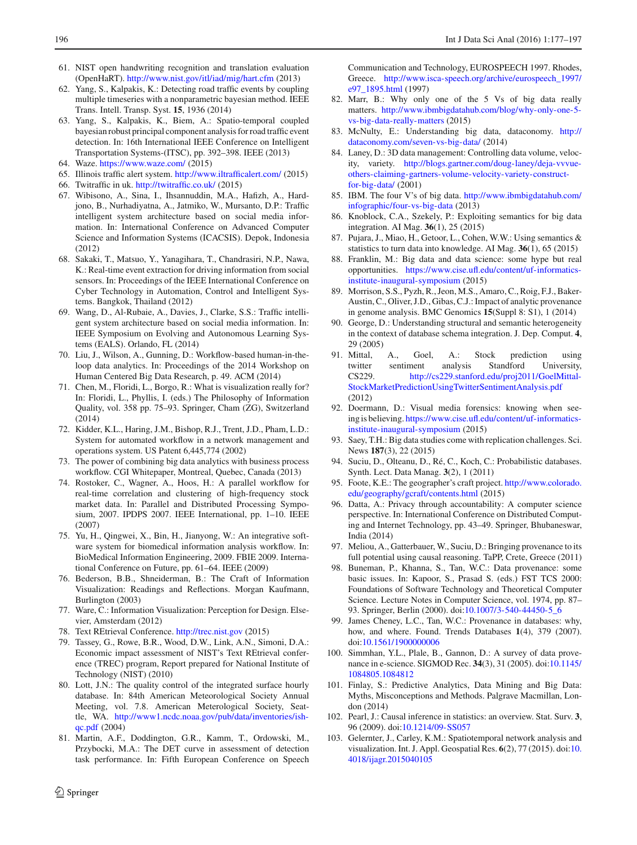- <span id="page-19-0"></span>61. NIST open handwriting recognition and translation evaluation (OpenHaRT). <http://www.nist.gov/itl/iad/mig/hart.cfm> (2013)
- <span id="page-19-1"></span>62. Yang, S., Kalpakis, K.: Detecting road traffic events by coupling multiple timeseries with a nonparametric bayesian method. IEEE Trans. Intell. Transp. Syst. **15**, 1936 (2014)
- <span id="page-19-2"></span>63. Yang, S., Kalpakis, K., Biem, A.: Spatio-temporal coupled bayesian robust principal component analysis for road traffic event detection. In: 16th International IEEE Conference on Intelligent Transportation Systems-(ITSC), pp. 392–398. IEEE (2013)
- <span id="page-19-3"></span>64. Waze. <https://www.waze.com/> (2015)
- <span id="page-19-4"></span>65. Illinois traffic alert system. <http://www.iltrafficalert.com/> (2015)
- <span id="page-19-5"></span>66. Twitraffic in uk. <http://twitraffic.co.uk/> (2015)
- <span id="page-19-6"></span>67. Wibisono, A., Sina, I., Ihsannuddin, M.A., Hafizh, A., Hardjono, B., Nurhadiyatna, A., Jatmiko, W., Mursanto, D.P.: Traffic intelligent system architecture based on social media information. In: International Conference on Advanced Computer Science and Information Systems (ICACSIS). Depok, Indonesia (2012)
- <span id="page-19-7"></span>68. Sakaki, T., Matsuo, Y., Yanagihara, T., Chandrasiri, N.P., Nawa, K.: Real-time event extraction for driving information from social sensors. In: Proceedings of the IEEE International Conference on Cyber Technology in Automation, Control and Intelligent Systems. Bangkok, Thailand (2012)
- <span id="page-19-8"></span>69. Wang, D., Al-Rubaie, A., Davies, J., Clarke, S.S.: Traffic intelligent system architecture based on social media information. In: IEEE Symposium on Evolving and Autonomous Learning Systems (EALS). Orlando, FL (2014)
- <span id="page-19-9"></span>70. Liu, J., Wilson, A., Gunning, D.: Workflow-based human-in-theloop data analytics. In: Proceedings of the 2014 Workshop on Human Centered Big Data Research, p. 49. ACM (2014)
- <span id="page-19-10"></span>71. Chen, M., Floridi, L., Borgo, R.: What is visualization really for? In: Floridi, L., Phyllis, I. (eds.) The Philosophy of Information Quality, vol. 358 pp. 75–93. Springer, Cham (ZG), Switzerland (2014)
- <span id="page-19-11"></span>72. Kidder, K.L., Haring, J.M., Bishop, R.J., Trent, J.D., Pham, L.D.: System for automated workflow in a network management and operations system. US Patent 6,445,774 (2002)
- <span id="page-19-12"></span>73. The power of combining big data analytics with business process workflow. CGI Whitepaper, Montreal, Quebec, Canada (2013)
- <span id="page-19-13"></span>74. Rostoker, C., Wagner, A., Hoos, H.: A parallel workflow for real-time correlation and clustering of high-frequency stock market data. In: Parallel and Distributed Processing Symposium, 2007. IPDPS 2007. IEEE International, pp. 1–10. IEEE (2007)
- <span id="page-19-14"></span>75. Yu, H., Qingwei, X., Bin, H., Jianyong, W.: An integrative software system for biomedical information analysis workflow. In: BioMedical Information Engineering, 2009. FBIE 2009. International Conference on Future, pp. 61–64. IEEE (2009)
- <span id="page-19-15"></span>76. Bederson, B.B., Shneiderman, B.: The Craft of Information Visualization: Readings and Reflections. Morgan Kaufmann, Burlington (2003)
- <span id="page-19-16"></span>77. Ware, C.: Information Visualization: Perception for Design. Elsevier, Amsterdam (2012)
- 78. Text REtrieval Conference. <http://trec.nist.gov> (2015)
- <span id="page-19-18"></span><span id="page-19-17"></span>79. Tassey, G., Rowe, B.R., Wood, D.W., Link, A.N., Simoni, D.A.: Economic impact assessment of NIST's Text REtrieval conference (TREC) program, Report prepared for National Institute of Technology (NIST) (2010)
- <span id="page-19-19"></span>80. Lott, J.N.: The quality control of the integrated surface hourly database. In: 84th American Meteorological Society Annual Meeting, vol. 7.8. American Meterological Society, Seattle, WA. [http://www1.ncdc.noaa.gov/pub/data/inventories/ish](http://www1.ncdc.noaa.gov/pub/data/inventories/ish-qc.pdf)[qc.pdf](http://www1.ncdc.noaa.gov/pub/data/inventories/ish-qc.pdf) (2004)
- <span id="page-19-28"></span>81. Martin, A.F., Doddington, G.R., Kamm, T., Ordowski, M., Przybocki, M.A.: The DET curve in assessment of detection task performance. In: Fifth European Conference on Speech

Communication and Technology, EUROSPEECH 1997. Rhodes, Greece. [http://www.isca-speech.org/archive/eurospeech\\_1997/](http://www.isca-speech.org/archive/eurospeech_1997/e97_1895.html) [e97\\_1895.html](http://www.isca-speech.org/archive/eurospeech_1997/e97_1895.html) (1997)

- <span id="page-19-29"></span>82. Marr, B.: Why only one of the 5 Vs of big data really matters. [http://www.ibmbigdatahub.com/blog/why-only-one-5](http://www.ibmbigdatahub.com/blog/why-only-one-5-vs-big-data-really-matters) [vs-big-data-really-matters](http://www.ibmbigdatahub.com/blog/why-only-one-5-vs-big-data-really-matters) (2015)
- <span id="page-19-30"></span>83. McNulty, E.: Understanding big data, dataconomy. [http://](http://dataconomy.com/seven-vs-big-data/) [dataconomy.com/seven-vs-big-data/](http://dataconomy.com/seven-vs-big-data/) (2014)
- <span id="page-19-31"></span>84. Laney, D.: 3D data management: Controlling data volume, velocity, variety. [http://blogs.gartner.com/doug-laney/deja-vvvue](http://blogs.gartner.com/doug-laney/deja-vvvue-others-claiming-gartners-volume-velocity-variety-construct-for-big-data/)[others-claiming-gartners-volume-velocity-variety-construct](http://blogs.gartner.com/doug-laney/deja-vvvue-others-claiming-gartners-volume-velocity-variety-construct-for-big-data/)[for-big-data/](http://blogs.gartner.com/doug-laney/deja-vvvue-others-claiming-gartners-volume-velocity-variety-construct-for-big-data/) (2001)
- <span id="page-19-32"></span>85. IBM. The four V's of big data. [http://www.ibmbigdatahub.com/](http://www.ibmbigdatahub.com/infographic/four-vs-big-data) [infographic/four-vs-big-data](http://www.ibmbigdatahub.com/infographic/four-vs-big-data) (2013)
- <span id="page-19-33"></span>86. Knoblock, C.A., Szekely, P.: Exploiting semantics for big data integration. AI Mag. **36**(1), 25 (2015)
- <span id="page-19-34"></span>87. Pujara, J., Miao, H., Getoor, L., Cohen, W.W.: Using semantics & statistics to turn data into knowledge. AI Mag. **36**(1), 65 (2015)
- <span id="page-19-35"></span>88. Franklin, M.: Big data and data science: some hype but real opportunities. [https://www.cise.ufl.edu/content/uf-informatics](https://www.cise.ufl.edu/content/uf-informatics-institute-inaugural-symposium)[institute-inaugural-symposium](https://www.cise.ufl.edu/content/uf-informatics-institute-inaugural-symposium) (2015)
- <span id="page-19-20"></span>89. Morrison, S.S., Pyzh, R., Jeon, M.S., Amaro, C., Roig, F.J., Baker-Austin, C., Oliver, J.D., Gibas, C.J.: Impact of analytic provenance in genome analysis. BMC Genomics **15**(Suppl 8: S1), 1 (2014)
- <span id="page-19-21"></span>90. George, D.: Understanding structural and semantic heterogeneity in the context of database schema integration. J. Dep. Comput. **4**, 29 (2005)
- <span id="page-19-22"></span>91. Mittal, A., Goel, A.: Stock prediction using twitter sentiment analysis Standford University, CS229. [http://cs229.stanford.edu/proj2011/GoelMittal-](http://cs229.stanford.edu/proj2011/GoelMittal-StockMarketPredictionUsingTwitterSentimentAnalysis.pdf)[StockMarketPredictionUsingTwitterSentimentAnalysis.pdf](http://cs229.stanford.edu/proj2011/GoelMittal-StockMarketPredictionUsingTwitterSentimentAnalysis.pdf) (2012)
- <span id="page-19-23"></span>92. Doermann, D.: Visual media forensics: knowing when seeing is believing. [https://www.cise.ufl.edu/content/uf-informatics](https://www.cise.ufl.edu/content/uf-informatics-institute-inaugural-symposium)[institute-inaugural-symposium](https://www.cise.ufl.edu/content/uf-informatics-institute-inaugural-symposium) (2015)
- <span id="page-19-24"></span>93. Saey, T.H.: Big data studies come with replication challenges. Sci. News **187**(3), 22 (2015)
- <span id="page-19-25"></span>94. Suciu, D., Olteanu, D., Ré, C., Koch, C.: Probabilistic databases. Synth. Lect. Data Manag. **3**(2), 1 (2011)
- <span id="page-19-26"></span>95. Foote, K.E.: The geographer's craft project. [http://www.colorado.](http://www.colorado.edu/geography/gcraft/contents.html) [edu/geography/gcraft/contents.html](http://www.colorado.edu/geography/gcraft/contents.html) (2015)
- <span id="page-19-27"></span>96. Datta, A.: Privacy through accountability: A computer science perspective. In: International Conference on Distributed Computing and Internet Technology, pp. 43–49. Springer, Bhubaneswar, India (2014)
- <span id="page-19-36"></span>97. Meliou, A., Gatterbauer, W., Suciu, D.: Bringing provenance to its full potential using causal reasoning. TaPP, Crete, Greece (2011)
- <span id="page-19-37"></span>98. Buneman, P., Khanna, S., Tan, W.C.: Data provenance: some basic issues. In: Kapoor, S., Prasad S. (eds.) FST TCS 2000: Foundations of Software Technology and Theoretical Computer Science. Lecture Notes in Computer Science, vol. 1974, pp. 87– 93. Springer, Berlin (2000). doi[:10.1007/3-540-44450-5\\_6](http://dx.doi.org/10.1007/3-540-44450-5_6)
- <span id="page-19-38"></span>99. James Cheney, L.C., Tan, W.C.: Provenance in databases: why, how, and where. Found. Trends Databases **1**(4), 379 (2007). doi[:10.1561/1900000006](http://dx.doi.org/10.1561/1900000006)
- <span id="page-19-39"></span>100. Simmhan, Y.L., Plale, B., Gannon, D.: A survey of data provenance in e-science. SIGMOD Rec. **34**(3), 31 (2005). doi[:10.1145/](http://dx.doi.org/10.1145/1084805.1084812) [1084805.1084812](http://dx.doi.org/10.1145/1084805.1084812)
- <span id="page-19-40"></span>101. Finlay, S.: Predictive Analytics, Data Mining and Big Data: Myths, Misconceptions and Methods. Palgrave Macmillan, London (2014)
- <span id="page-19-41"></span>102. Pearl, J.: Causal inference in statistics: an overview. Stat. Surv. **3**, 96 (2009). doi[:10.1214/09-SS057](http://dx.doi.org/10.1214/09-SS057)
- <span id="page-19-42"></span>103. Gelernter, J., Carley, K.M.: Spatiotemporal network analysis and visualization. Int. J. Appl. Geospatial Res. **6**(2), 77 (2015). doi[:10.](http://dx.doi.org/10.4018/ijagr.2015040105) [4018/ijagr.2015040105](http://dx.doi.org/10.4018/ijagr.2015040105)